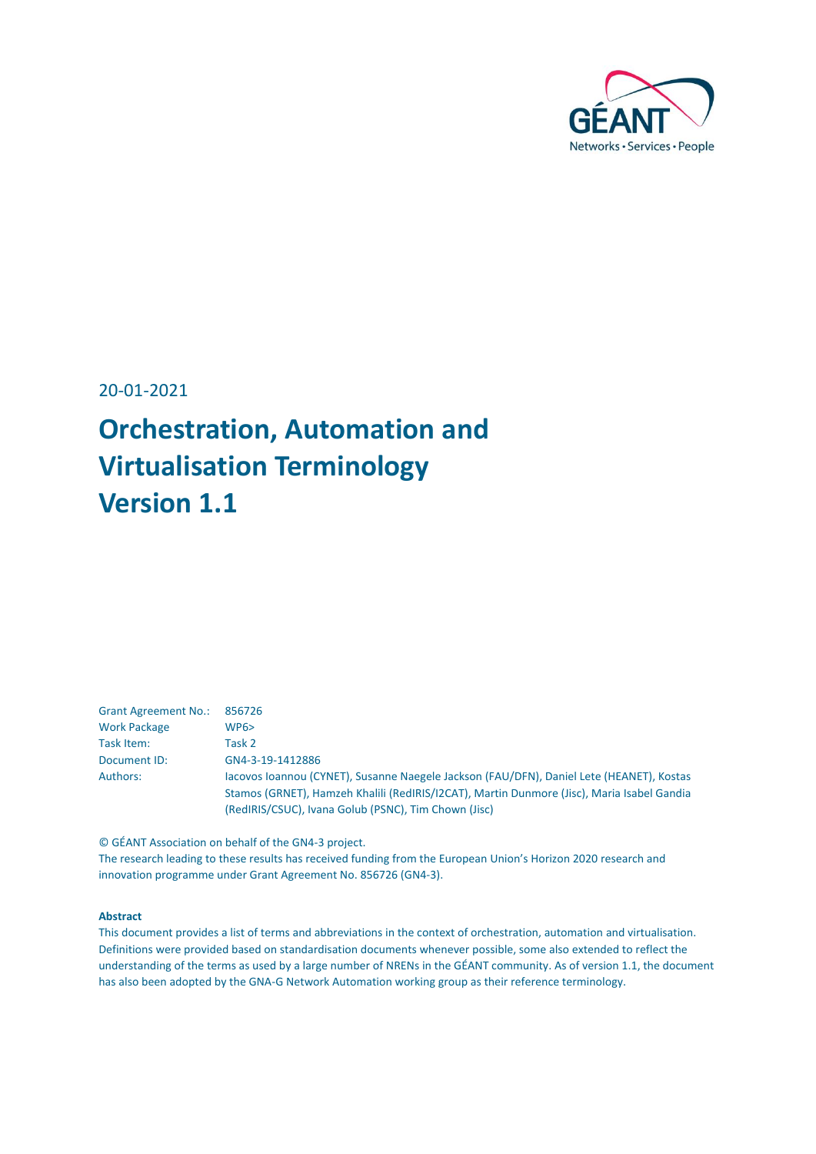

20-01-2021

# **Orchestration, Automation and Virtualisation Terminology Version 1.1**

| <b>Grant Agreement No.:</b> | 856726                                                                                     |
|-----------------------------|--------------------------------------------------------------------------------------------|
| <b>Work Package</b>         | WPS                                                                                        |
| Task Item:                  | Task 2                                                                                     |
| Document ID:                | GN4-3-19-1412886                                                                           |
| Authors:                    | Jacovos Joannou (CYNET), Susanne Naegele Jackson (FAU/DFN), Daniel Lete (HEANET), Kostas   |
|                             | Stamos (GRNET), Hamzeh Khalili (RedIRIS/I2CAT), Martin Dunmore (Jisc), Maria Isabel Gandia |
|                             | (RedIRIS/CSUC), Ivana Golub (PSNC), Tim Chown (Jisc)                                       |

© GÉANT Association on behalf of the GN4-3 project. The research leading to these results has received funding from the European Union's Horizon 2020 research and innovation programme under Grant Agreement No. 856726 (GN4-3).

#### **Abstract**

This document provides a list of terms and abbreviations in the context of orchestration, automation and virtualisation. Definitions were provided based on standardisation documents whenever possible, some also extended to reflect the understanding of the terms as used by a large number of NRENs in the GÉANT community. As of version 1.1, the document has also been adopted by the GNA-G Network Automation working group as their reference terminology.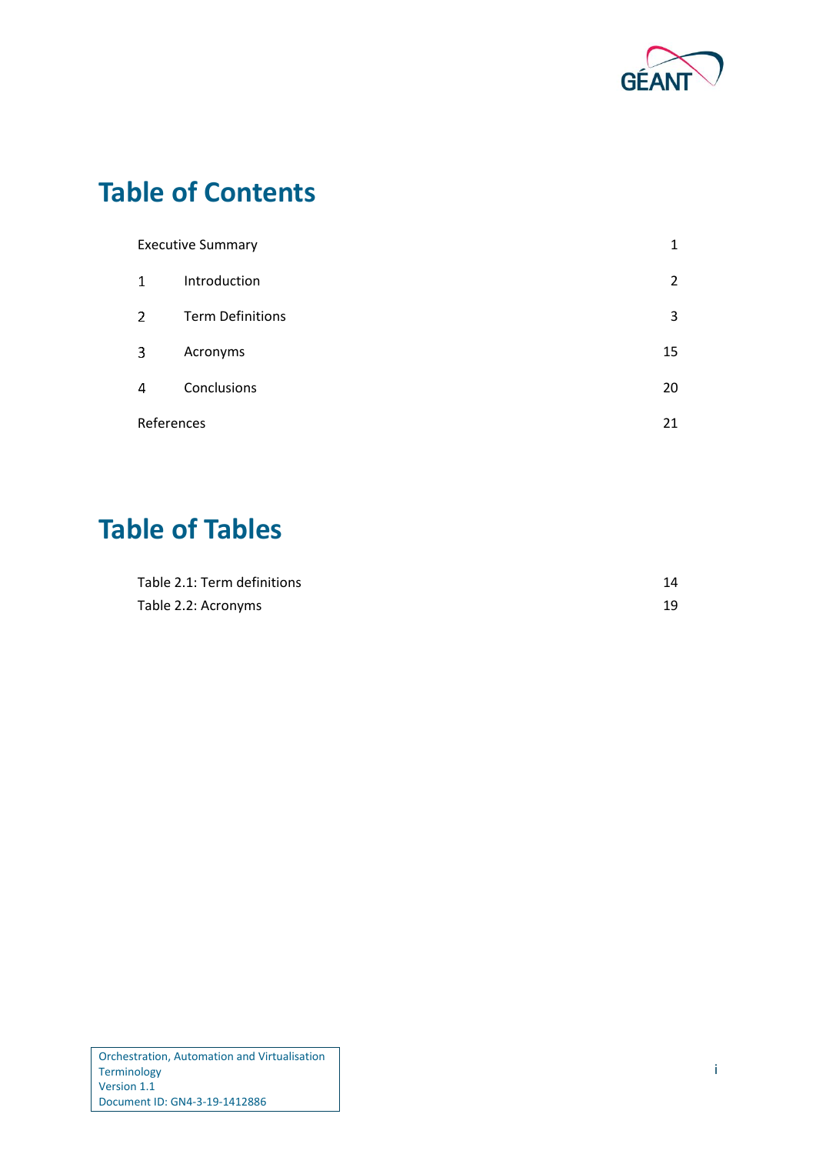

## **Table of Contents**

| <b>Executive Summary</b> |                         | 1              |
|--------------------------|-------------------------|----------------|
| $\mathbf{1}$             | Introduction            | $\overline{2}$ |
| $\overline{2}$           | <b>Term Definitions</b> | 3              |
| 3                        | Acronyms                | 15             |
| 4                        | Conclusions             | 20             |
| References               |                         | 21             |

## **Table of Tables**

| Table 2.1: Term definitions |  |
|-----------------------------|--|
| Table 2.2: Acronyms         |  |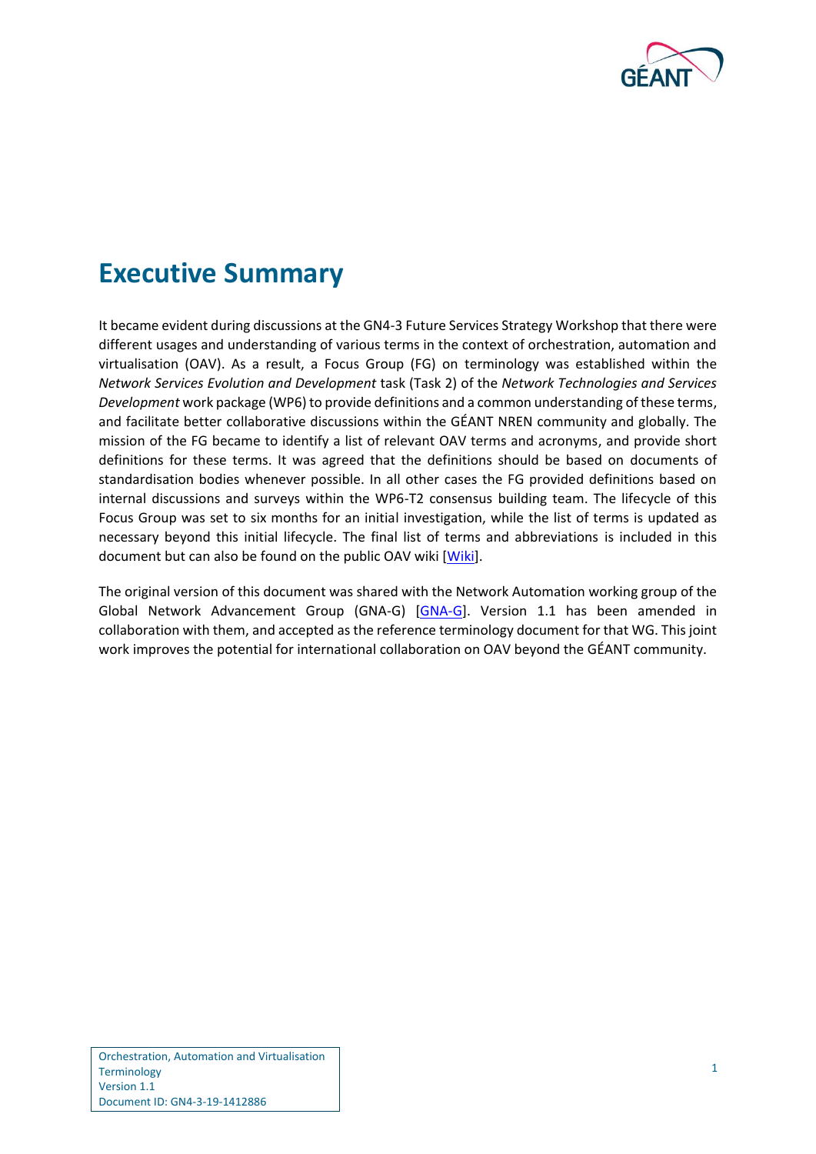

## <span id="page-2-0"></span>**Executive Summary**

It became evident during discussions at the GN4-3 Future Services Strategy Workshop that there were different usages and understanding of various terms in the context of orchestration, automation and virtualisation (OAV). As a result, a Focus Group (FG) on terminology was established within the *Network Services Evolution and Development* task (Task 2) of the *Network Technologies and Services Development* work package (WP6) to provide definitions and a common understanding of these terms, and facilitate better collaborative discussions within the GÉANT NREN community and globally. The mission of the FG became to identify a list of relevant OAV terms and acronyms, and provide short definitions for these terms. It was agreed that the definitions should be based on documents of standardisation bodies whenever possible. In all other cases the FG provided definitions based on internal discussions and surveys within the WP6-T2 consensus building team. The lifecycle of this Focus Group was set to six months for an initial investigation, while the list of terms is updated as necessary beyond this initial lifecycle. The final list of terms and abbreviations is included in this document but can also be found on the public OAV wiki [\[Wiki\]](#page-22-1).

The original version of this document was shared with the Network Automation working group of the Global Network Advancement Group (GNA-G) [\[GNA-G\]](#page-22-2). Version 1.1 has been amended in collaboration with them, and accepted as the reference terminology document for that WG. This joint work improves the potential for international collaboration on OAV beyond the GÉANT community.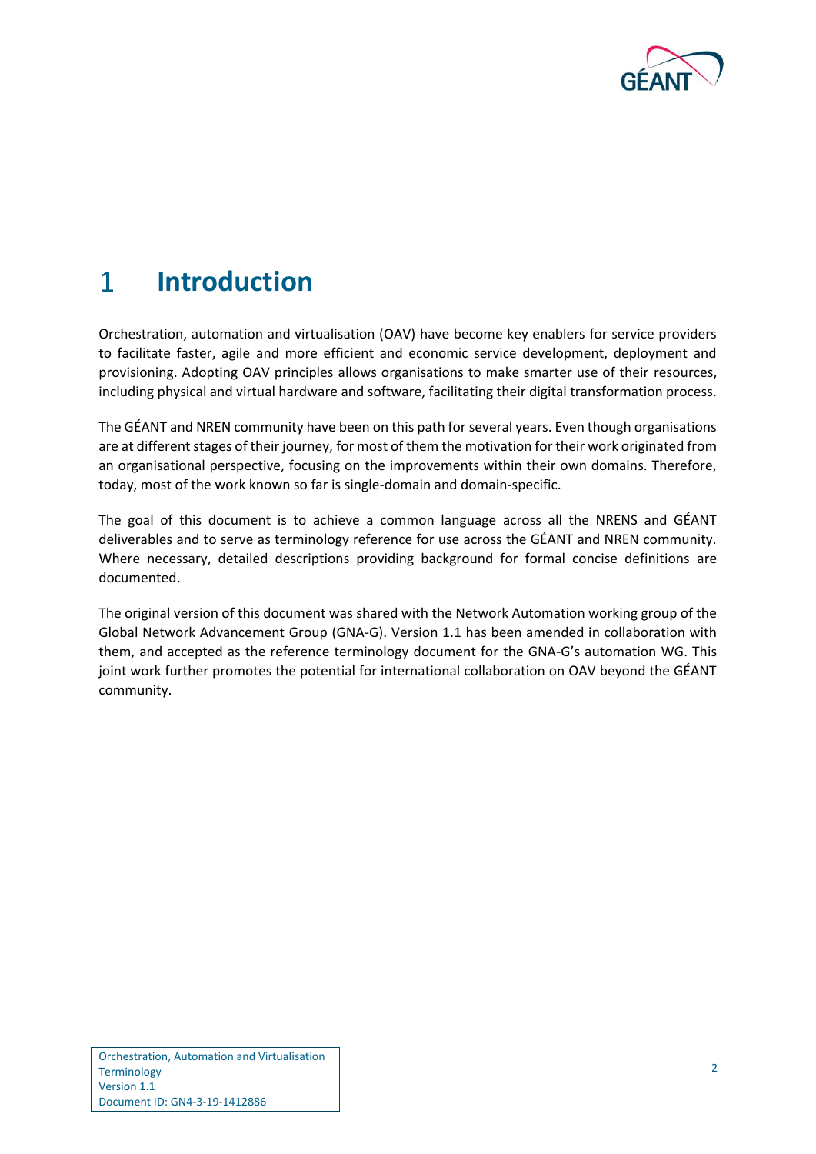

#### <span id="page-3-0"></span> $\mathbf{1}$ **Introduction**

Orchestration, automation and virtualisation (OAV) have become key enablers for service providers to facilitate faster, agile and more efficient and economic service development, deployment and provisioning. Adopting OAV principles allows organisations to make smarter use of their resources, including physical and virtual hardware and software, facilitating their digital transformation process.

The GÉANT and NREN community have been on this path for several years. Even though organisations are at different stages of their journey, for most of them the motivation for their work originated from an organisational perspective, focusing on the improvements within their own domains. Therefore, today, most of the work known so far is single-domain and domain-specific.

The goal of this document is to achieve a common language across all the NRENS and GÉANT deliverables and to serve as terminology reference for use across the GÉANT and NREN community. Where necessary, detailed descriptions providing background for formal concise definitions are documented.

The original version of this document was shared with the Network Automation working group of the Global Network Advancement Group (GNA-G). Version 1.1 has been amended in collaboration with them, and accepted as the reference terminology document for the GNA-G's automation WG. This joint work further promotes the potential for international collaboration on OAV beyond the GÉANT community.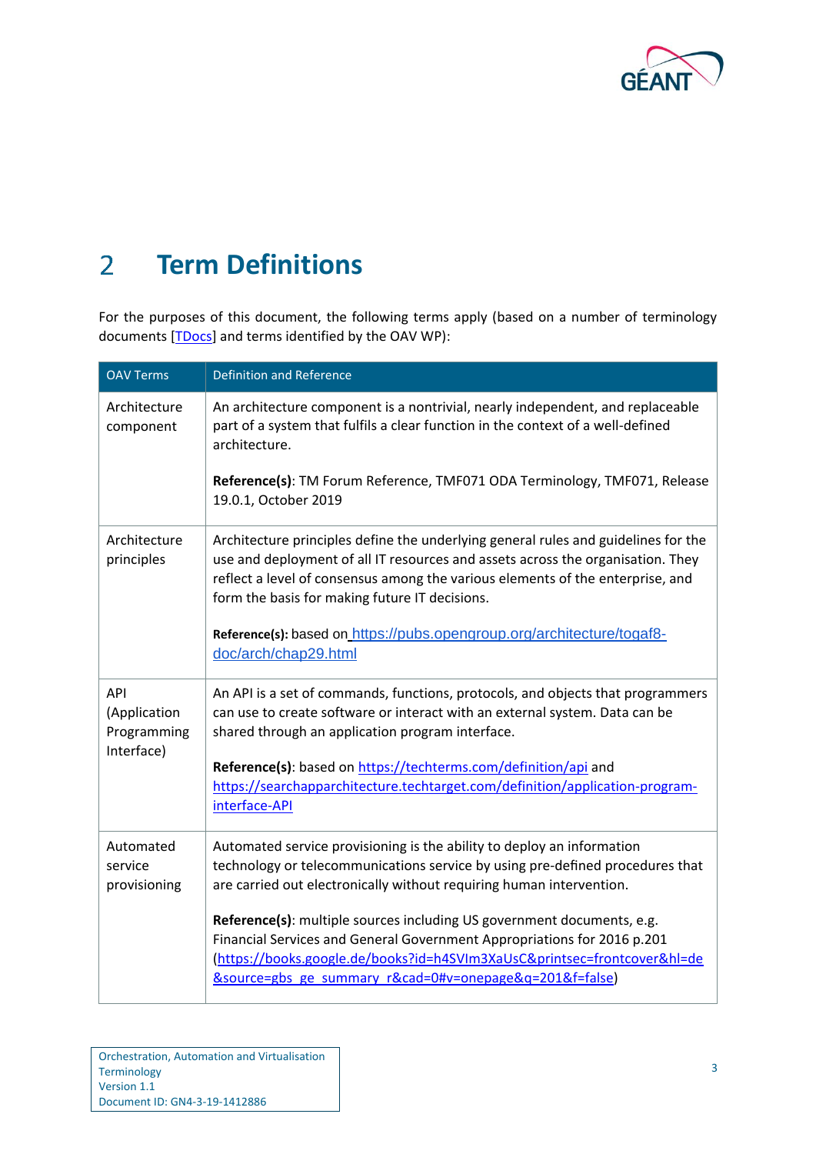

### <span id="page-4-0"></span>**Term Definitions**  $\overline{2}$

For the purposes of this document, the following terms apply (based on a number of terminology documents [\[TDocs\]](#page-22-3) and terms identified by the OAV WP):

| <b>OAV Terms</b>                                 | <b>Definition and Reference</b>                                                                                                                                                                                                                                                                           |
|--------------------------------------------------|-----------------------------------------------------------------------------------------------------------------------------------------------------------------------------------------------------------------------------------------------------------------------------------------------------------|
| Architecture<br>component                        | An architecture component is a nontrivial, nearly independent, and replaceable<br>part of a system that fulfils a clear function in the context of a well-defined<br>architecture.                                                                                                                        |
|                                                  | Reference(s): TM Forum Reference, TMF071 ODA Terminology, TMF071, Release<br>19.0.1, October 2019                                                                                                                                                                                                         |
| Architecture<br>principles                       | Architecture principles define the underlying general rules and guidelines for the<br>use and deployment of all IT resources and assets across the organisation. They<br>reflect a level of consensus among the various elements of the enterprise, and<br>form the basis for making future IT decisions. |
|                                                  | Reference(s): based on https://pubs.opengroup.org/architecture/togaf8-<br>doc/arch/chap29.html                                                                                                                                                                                                            |
| API<br>(Application<br>Programming<br>Interface) | An API is a set of commands, functions, protocols, and objects that programmers<br>can use to create software or interact with an external system. Data can be<br>shared through an application program interface.                                                                                        |
|                                                  | Reference(s): based on https://techterms.com/definition/api and<br>https://searchapparchitecture.techtarget.com/definition/application-program-<br>interface-API                                                                                                                                          |
| Automated<br>service<br>provisioning             | Automated service provisioning is the ability to deploy an information<br>technology or telecommunications service by using pre-defined procedures that<br>are carried out electronically without requiring human intervention.                                                                           |
|                                                  | Reference(s): multiple sources including US government documents, e.g.<br>Financial Services and General Government Appropriations for 2016 p.201<br>(https://books.google.de/books?id=h4SVIm3XaUsC&printsec=frontcover&hl=de<br>&source=gbs_ge_summary_r&cad=0#v=onepage&q=201&f=false)                  |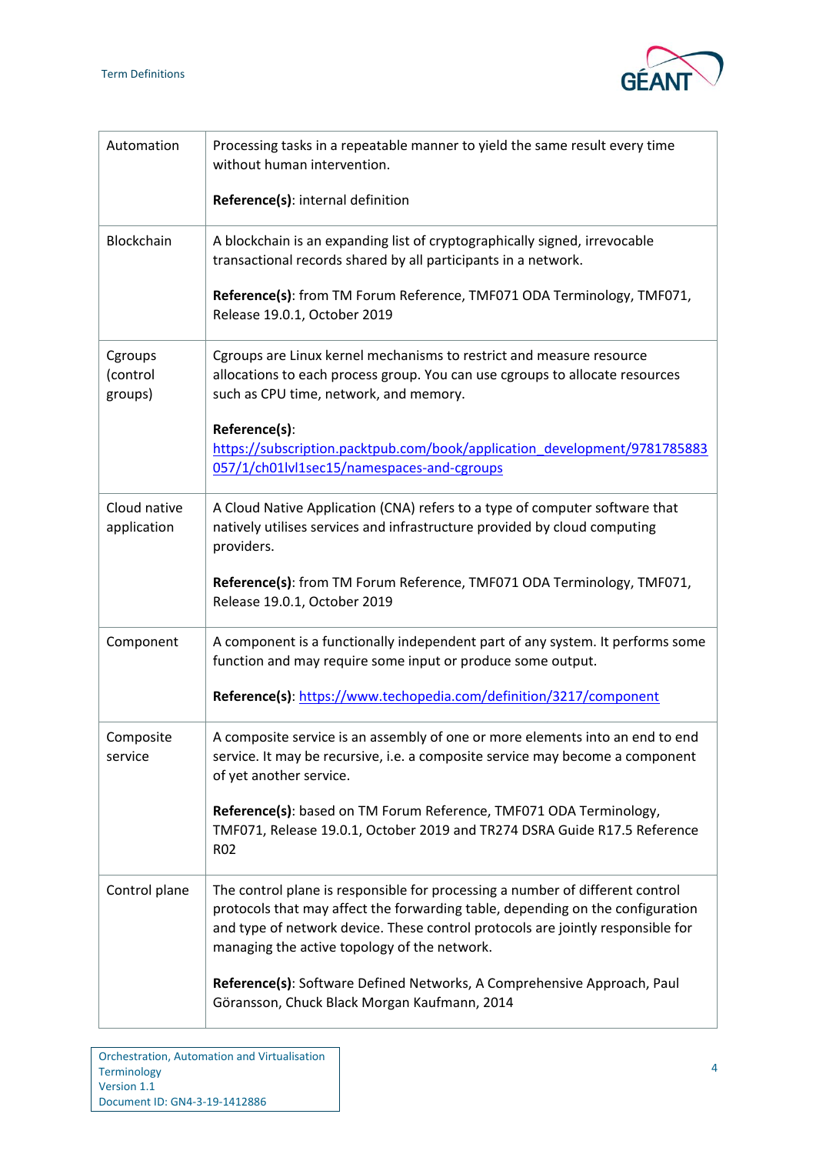

| Automation                     | Processing tasks in a repeatable manner to yield the same result every time<br>without human intervention.                                                                                                                                                                                         |
|--------------------------------|----------------------------------------------------------------------------------------------------------------------------------------------------------------------------------------------------------------------------------------------------------------------------------------------------|
|                                | Reference(s): internal definition                                                                                                                                                                                                                                                                  |
| Blockchain                     | A blockchain is an expanding list of cryptographically signed, irrevocable<br>transactional records shared by all participants in a network.                                                                                                                                                       |
|                                | Reference(s): from TM Forum Reference, TMF071 ODA Terminology, TMF071,<br>Release 19.0.1, October 2019                                                                                                                                                                                             |
| Cgroups<br>(control<br>groups) | Cgroups are Linux kernel mechanisms to restrict and measure resource<br>allocations to each process group. You can use cgroups to allocate resources<br>such as CPU time, network, and memory.                                                                                                     |
|                                | Reference(s):                                                                                                                                                                                                                                                                                      |
|                                | https://subscription.packtpub.com/book/application_development/9781785883<br>057/1/ch01lvl1sec15/namespaces-and-cgroups                                                                                                                                                                            |
| Cloud native<br>application    | A Cloud Native Application (CNA) refers to a type of computer software that<br>natively utilises services and infrastructure provided by cloud computing<br>providers.                                                                                                                             |
|                                | Reference(s): from TM Forum Reference, TMF071 ODA Terminology, TMF071,<br>Release 19.0.1, October 2019                                                                                                                                                                                             |
| Component                      | A component is a functionally independent part of any system. It performs some<br>function and may require some input or produce some output.                                                                                                                                                      |
|                                | Reference(s): https://www.techopedia.com/definition/3217/component                                                                                                                                                                                                                                 |
| Composite<br>service           | A composite service is an assembly of one or more elements into an end to end<br>service. It may be recursive, i.e. a composite service may become a component<br>of yet another service.                                                                                                          |
|                                | Reference(s): based on TM Forum Reference, TMF071 ODA Terminology,<br>TMF071, Release 19.0.1, October 2019 and TR274 DSRA Guide R17.5 Reference<br>R <sub>02</sub>                                                                                                                                 |
| Control plane                  | The control plane is responsible for processing a number of different control<br>protocols that may affect the forwarding table, depending on the configuration<br>and type of network device. These control protocols are jointly responsible for<br>managing the active topology of the network. |
|                                | Reference(s): Software Defined Networks, A Comprehensive Approach, Paul<br>Göransson, Chuck Black Morgan Kaufmann, 2014                                                                                                                                                                            |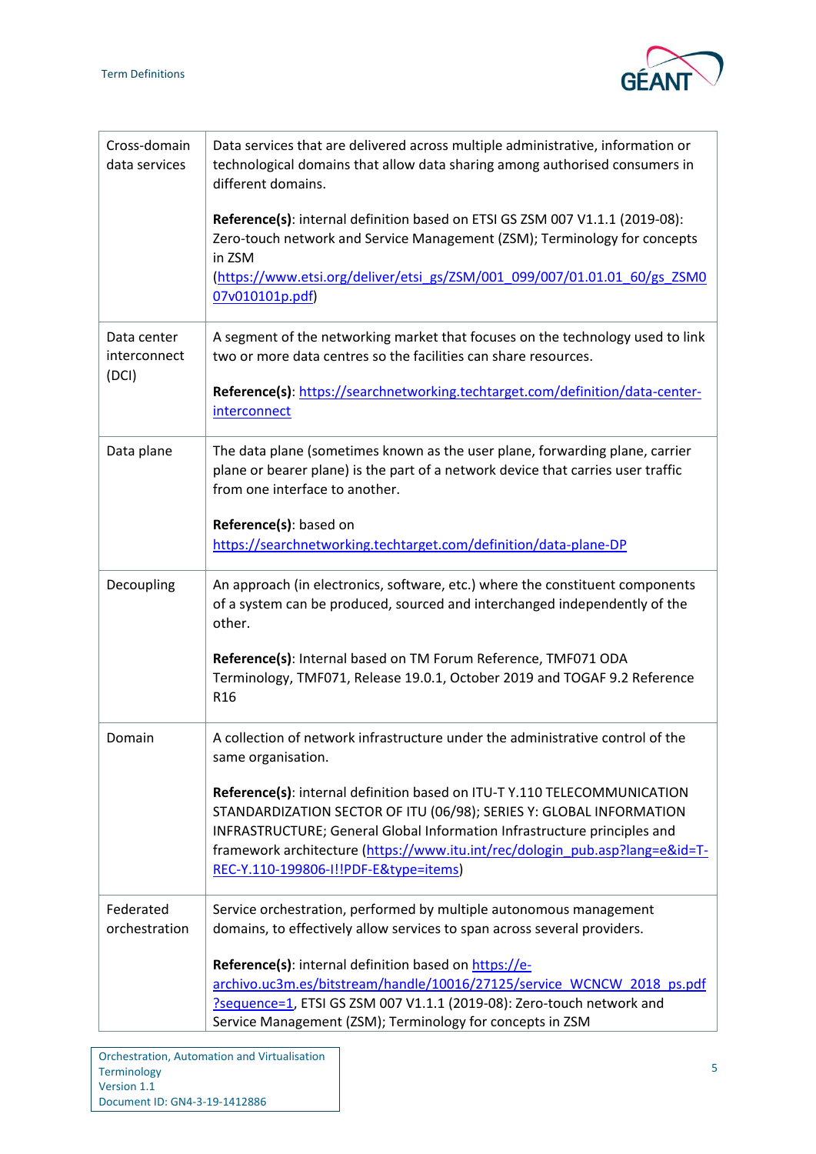

| Cross-domain<br>data services        | Data services that are delivered across multiple administrative, information or<br>technological domains that allow data sharing among authorised consumers in<br>different domains.                                                                                                                                                                 |
|--------------------------------------|------------------------------------------------------------------------------------------------------------------------------------------------------------------------------------------------------------------------------------------------------------------------------------------------------------------------------------------------------|
|                                      | Reference(s): internal definition based on ETSI GS ZSM 007 V1.1.1 (2019-08):<br>Zero-touch network and Service Management (ZSM); Terminology for concepts<br>in ZSM                                                                                                                                                                                  |
|                                      | (https://www.etsi.org/deliver/etsi_gs/ZSM/001_099/007/01.01.01_60/gs_ZSM0<br>07v010101p.pdf)                                                                                                                                                                                                                                                         |
| Data center<br>interconnect<br>(DCI) | A segment of the networking market that focuses on the technology used to link<br>two or more data centres so the facilities can share resources.                                                                                                                                                                                                    |
|                                      | Reference(s): https://searchnetworking.techtarget.com/definition/data-center-<br>interconnect                                                                                                                                                                                                                                                        |
| Data plane                           | The data plane (sometimes known as the user plane, forwarding plane, carrier<br>plane or bearer plane) is the part of a network device that carries user traffic<br>from one interface to another.                                                                                                                                                   |
|                                      | Reference(s): based on<br>https://searchnetworking.techtarget.com/definition/data-plane-DP                                                                                                                                                                                                                                                           |
| Decoupling                           | An approach (in electronics, software, etc.) where the constituent components<br>of a system can be produced, sourced and interchanged independently of the<br>other.                                                                                                                                                                                |
|                                      | Reference(s): Internal based on TM Forum Reference, TMF071 ODA<br>Terminology, TMF071, Release 19.0.1, October 2019 and TOGAF 9.2 Reference<br>R <sub>16</sub>                                                                                                                                                                                       |
| Domain                               | A collection of network infrastructure under the administrative control of the<br>same organisation.                                                                                                                                                                                                                                                 |
|                                      | Reference(s): internal definition based on ITU-T Y.110 TELECOMMUNICATION<br>STANDARDIZATION SECTOR OF ITU (06/98); SERIES Y: GLOBAL INFORMATION<br>INFRASTRUCTURE; General Global Information Infrastructure principles and<br>framework architecture (https://www.itu.int/rec/dologin_pub.asp?lang=e&id=T-<br>REC-Y.110-199806-I!!PDF-E&type=items) |
| Federated<br>orchestration           | Service orchestration, performed by multiple autonomous management<br>domains, to effectively allow services to span across several providers.                                                                                                                                                                                                       |
|                                      | Reference(s): internal definition based on https://e-<br>archivo.uc3m.es/bitstream/handle/10016/27125/service WCNCW 2018 ps.pdf<br>?sequence=1, ETSI GS ZSM 007 V1.1.1 (2019-08): Zero-touch network and<br>Service Management (ZSM); Terminology for concepts in ZSM                                                                                |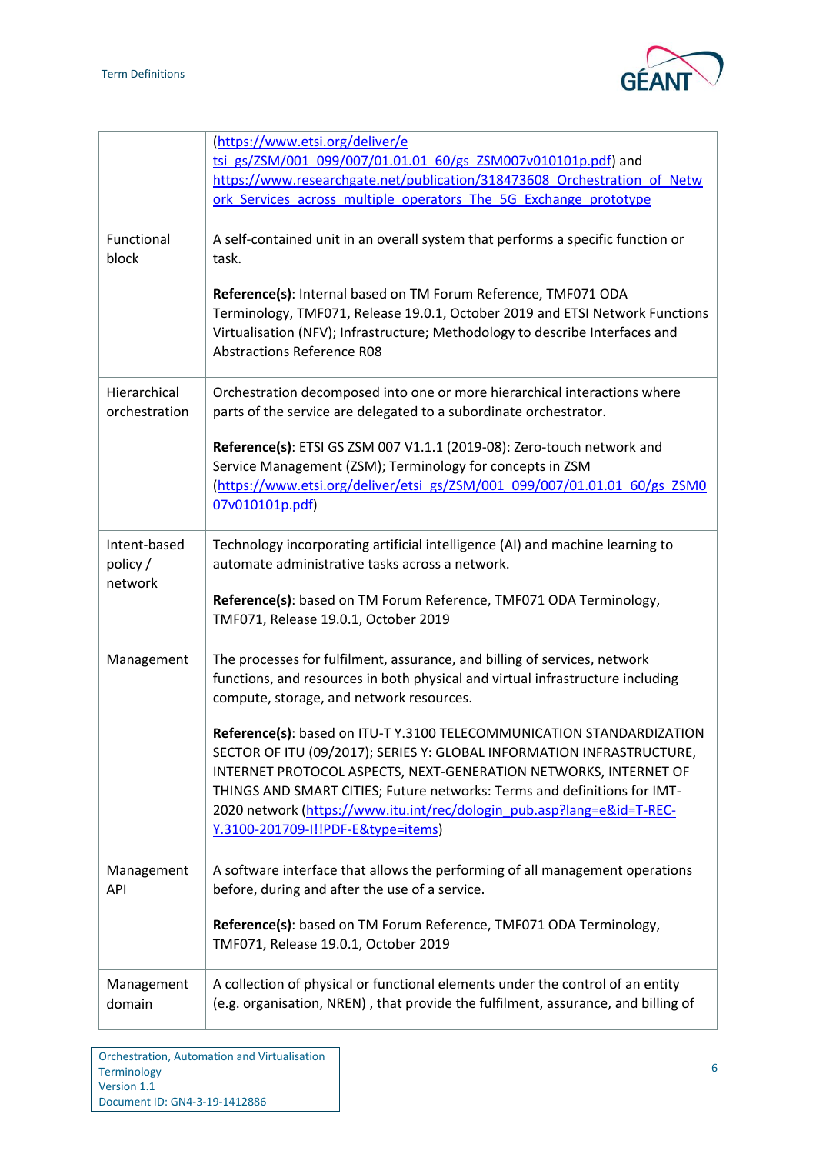

|                                    | (https://www.etsi.org/deliver/e<br>tsi gs/ZSM/001 099/007/01.01.01 60/gs ZSM007v010101p.pdf) and<br>https://www.researchgate.net/publication/318473608 Orchestration of Netw<br>ork Services across multiple operators The 5G Exchange prototype                                                                                                                                                               |
|------------------------------------|----------------------------------------------------------------------------------------------------------------------------------------------------------------------------------------------------------------------------------------------------------------------------------------------------------------------------------------------------------------------------------------------------------------|
| Functional<br>block                | A self-contained unit in an overall system that performs a specific function or<br>task.                                                                                                                                                                                                                                                                                                                       |
|                                    | Reference(s): Internal based on TM Forum Reference, TMF071 ODA<br>Terminology, TMF071, Release 19.0.1, October 2019 and ETSI Network Functions<br>Virtualisation (NFV); Infrastructure; Methodology to describe Interfaces and<br><b>Abstractions Reference R08</b>                                                                                                                                            |
| Hierarchical<br>orchestration      | Orchestration decomposed into one or more hierarchical interactions where<br>parts of the service are delegated to a subordinate orchestrator.                                                                                                                                                                                                                                                                 |
|                                    | Reference(s): ETSI GS ZSM 007 V1.1.1 (2019-08): Zero-touch network and<br>Service Management (ZSM); Terminology for concepts in ZSM<br>(https://www.etsi.org/deliver/etsi_gs/ZSM/001_099/007/01.01.01_60/gs_ZSM0<br>07v010101p.pdf)                                                                                                                                                                            |
| Intent-based<br>policy/<br>network | Technology incorporating artificial intelligence (AI) and machine learning to<br>automate administrative tasks across a network.                                                                                                                                                                                                                                                                               |
|                                    | Reference(s): based on TM Forum Reference, TMF071 ODA Terminology,<br>TMF071, Release 19.0.1, October 2019                                                                                                                                                                                                                                                                                                     |
| Management                         | The processes for fulfilment, assurance, and billing of services, network<br>functions, and resources in both physical and virtual infrastructure including<br>compute, storage, and network resources.                                                                                                                                                                                                        |
|                                    | Reference(s): based on ITU-T Y.3100 TELECOMMUNICATION STANDARDIZATION<br>SECTOR OF ITU (09/2017); SERIES Y: GLOBAL INFORMATION INFRASTRUCTURE,<br>INTERNET PROTOCOL ASPECTS, NEXT-GENERATION NETWORKS, INTERNET OF<br>THINGS AND SMART CITIES; Future networks: Terms and definitions for IMT-<br>2020 network (https://www.itu.int/rec/dologin_pub.asp?lang=e&id=T-REC-<br>Y.3100-201709-I!!PDF-E&type=items) |
| Management<br>API                  | A software interface that allows the performing of all management operations<br>before, during and after the use of a service.                                                                                                                                                                                                                                                                                 |
|                                    | Reference(s): based on TM Forum Reference, TMF071 ODA Terminology,<br>TMF071, Release 19.0.1, October 2019                                                                                                                                                                                                                                                                                                     |
| Management<br>domain               | A collection of physical or functional elements under the control of an entity<br>(e.g. organisation, NREN), that provide the fulfilment, assurance, and billing of                                                                                                                                                                                                                                            |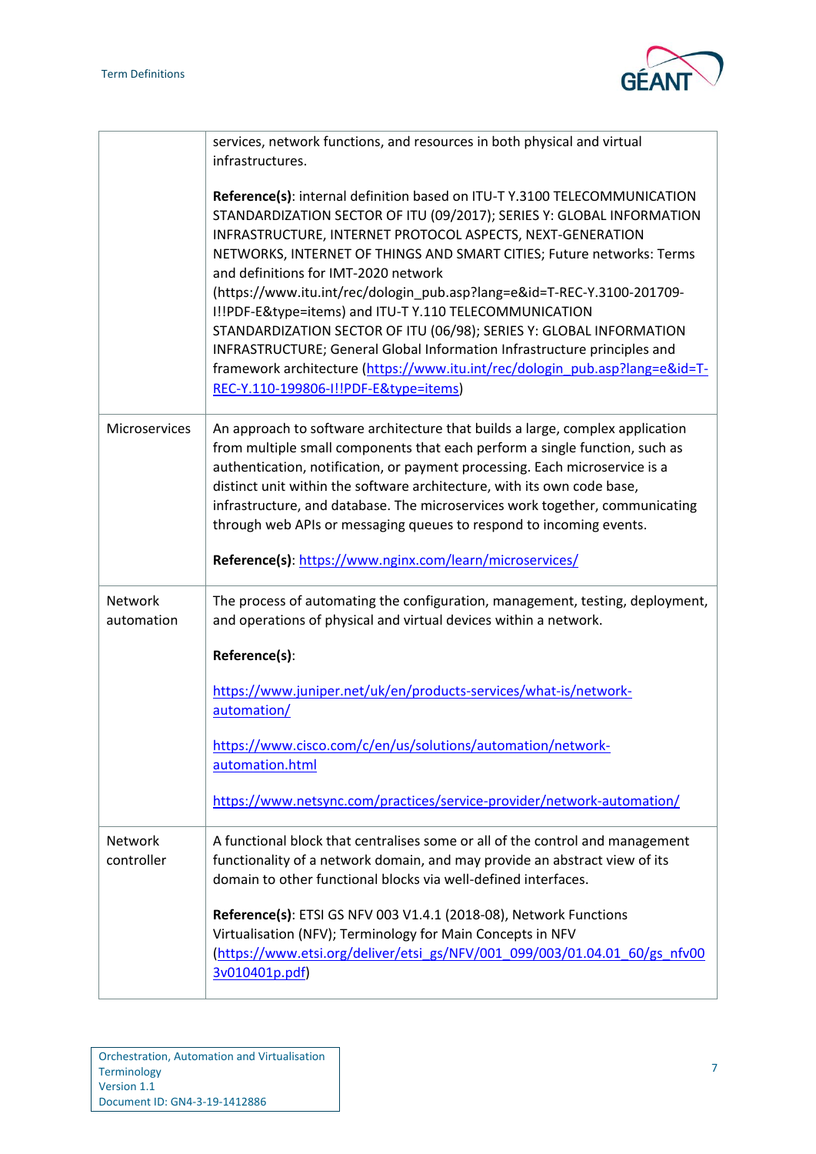

|                       | services, network functions, and resources in both physical and virtual<br>infrastructures.                                                                                                                                                                                                                                                                                                                                                                                                                                                                                                                                                                                                                                                        |
|-----------------------|----------------------------------------------------------------------------------------------------------------------------------------------------------------------------------------------------------------------------------------------------------------------------------------------------------------------------------------------------------------------------------------------------------------------------------------------------------------------------------------------------------------------------------------------------------------------------------------------------------------------------------------------------------------------------------------------------------------------------------------------------|
|                       | Reference(s): internal definition based on ITU-T Y.3100 TELECOMMUNICATION<br>STANDARDIZATION SECTOR OF ITU (09/2017); SERIES Y: GLOBAL INFORMATION<br>INFRASTRUCTURE, INTERNET PROTOCOL ASPECTS, NEXT-GENERATION<br>NETWORKS, INTERNET OF THINGS AND SMART CITIES; Future networks: Terms<br>and definitions for IMT-2020 network<br>(https://www.itu.int/rec/dologin_pub.asp?lang=e&id=T-REC-Y.3100-201709-<br>I!!PDF-E&type=items) and ITU-T Y.110 TELECOMMUNICATION<br>STANDARDIZATION SECTOR OF ITU (06/98); SERIES Y: GLOBAL INFORMATION<br>INFRASTRUCTURE; General Global Information Infrastructure principles and<br>framework architecture (https://www.itu.int/rec/dologin_pub.asp?lang=e&id=T-<br>REC-Y.110-199806-I!!PDF-E&type=items) |
| <b>Microservices</b>  | An approach to software architecture that builds a large, complex application<br>from multiple small components that each perform a single function, such as<br>authentication, notification, or payment processing. Each microservice is a<br>distinct unit within the software architecture, with its own code base,<br>infrastructure, and database. The microservices work together, communicating<br>through web APIs or messaging queues to respond to incoming events.<br>Reference(s): https://www.nginx.com/learn/microservices/                                                                                                                                                                                                          |
| Network<br>automation | The process of automating the configuration, management, testing, deployment,<br>and operations of physical and virtual devices within a network.                                                                                                                                                                                                                                                                                                                                                                                                                                                                                                                                                                                                  |
|                       | Reference(s):                                                                                                                                                                                                                                                                                                                                                                                                                                                                                                                                                                                                                                                                                                                                      |
|                       | https://www.juniper.net/uk/en/products-services/what-is/network-<br>automation/                                                                                                                                                                                                                                                                                                                                                                                                                                                                                                                                                                                                                                                                    |
|                       | https://www.cisco.com/c/en/us/solutions/automation/network-<br>automation.html                                                                                                                                                                                                                                                                                                                                                                                                                                                                                                                                                                                                                                                                     |
|                       | https://www.netsync.com/practices/service-provider/network-automation/                                                                                                                                                                                                                                                                                                                                                                                                                                                                                                                                                                                                                                                                             |
| Network<br>controller | A functional block that centralises some or all of the control and management<br>functionality of a network domain, and may provide an abstract view of its<br>domain to other functional blocks via well-defined interfaces.                                                                                                                                                                                                                                                                                                                                                                                                                                                                                                                      |
|                       | Reference(s): ETSI GS NFV 003 V1.4.1 (2018-08), Network Functions<br>Virtualisation (NFV); Terminology for Main Concepts in NFV<br>(https://www.etsi.org/deliver/etsi_gs/NFV/001_099/003/01.04.01_60/gs_nfv00<br>3v010401p.pdf)                                                                                                                                                                                                                                                                                                                                                                                                                                                                                                                    |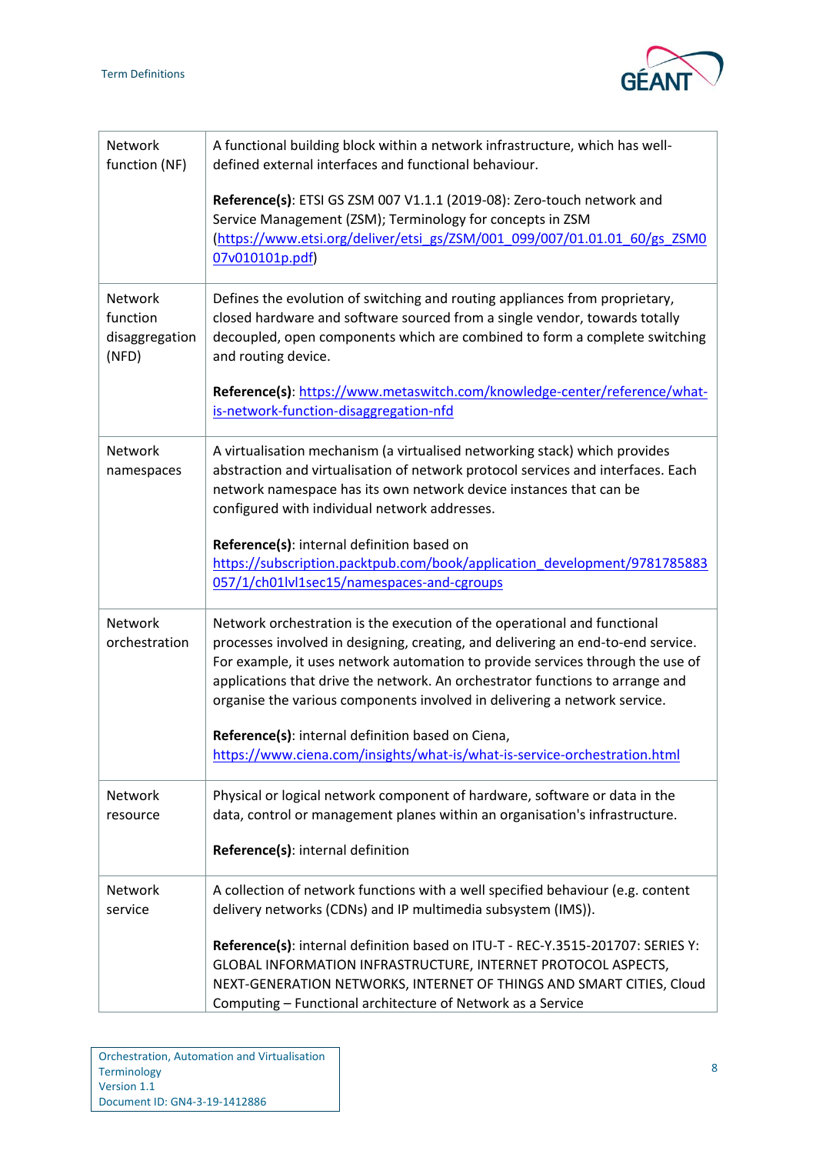

| Network<br>function (NF)                       | A functional building block within a network infrastructure, which has well-<br>defined external interfaces and functional behaviour.                                                                                                                                                                                                                                                                        |
|------------------------------------------------|--------------------------------------------------------------------------------------------------------------------------------------------------------------------------------------------------------------------------------------------------------------------------------------------------------------------------------------------------------------------------------------------------------------|
|                                                | Reference(s): ETSI GS ZSM 007 V1.1.1 (2019-08): Zero-touch network and<br>Service Management (ZSM); Terminology for concepts in ZSM<br>(https://www.etsi.org/deliver/etsi_gs/ZSM/001_099/007/01.01.01_60/gs_ZSM0<br>07v010101p.pdf)                                                                                                                                                                          |
| Network<br>function<br>disaggregation<br>(NFD) | Defines the evolution of switching and routing appliances from proprietary,<br>closed hardware and software sourced from a single vendor, towards totally<br>decoupled, open components which are combined to form a complete switching<br>and routing device.                                                                                                                                               |
|                                                | Reference(s): https://www.metaswitch.com/knowledge-center/reference/what-<br>is-network-function-disaggregation-nfd                                                                                                                                                                                                                                                                                          |
| Network<br>namespaces                          | A virtualisation mechanism (a virtualised networking stack) which provides<br>abstraction and virtualisation of network protocol services and interfaces. Each<br>network namespace has its own network device instances that can be<br>configured with individual network addresses.                                                                                                                        |
|                                                | Reference(s): internal definition based on<br>https://subscription.packtpub.com/book/application_development/9781785883<br>057/1/ch01lvl1sec15/namespaces-and-cgroups                                                                                                                                                                                                                                        |
| Network<br>orchestration                       | Network orchestration is the execution of the operational and functional<br>processes involved in designing, creating, and delivering an end-to-end service.<br>For example, it uses network automation to provide services through the use of<br>applications that drive the network. An orchestrator functions to arrange and<br>organise the various components involved in delivering a network service. |
|                                                | Reference(s): internal definition based on Ciena,<br>https://www.ciena.com/insights/what-is/what-is-service-orchestration.html                                                                                                                                                                                                                                                                               |
| Network<br>resource                            | Physical or logical network component of hardware, software or data in the<br>data, control or management planes within an organisation's infrastructure.                                                                                                                                                                                                                                                    |
|                                                | Reference(s): internal definition                                                                                                                                                                                                                                                                                                                                                                            |
| Network<br>service                             | A collection of network functions with a well specified behaviour (e.g. content<br>delivery networks (CDNs) and IP multimedia subsystem (IMS)).                                                                                                                                                                                                                                                              |
|                                                | Reference(s): internal definition based on ITU-T - REC-Y.3515-201707: SERIES Y:<br>GLOBAL INFORMATION INFRASTRUCTURE, INTERNET PROTOCOL ASPECTS,<br>NEXT-GENERATION NETWORKS, INTERNET OF THINGS AND SMART CITIES, Cloud<br>Computing - Functional architecture of Network as a Service                                                                                                                      |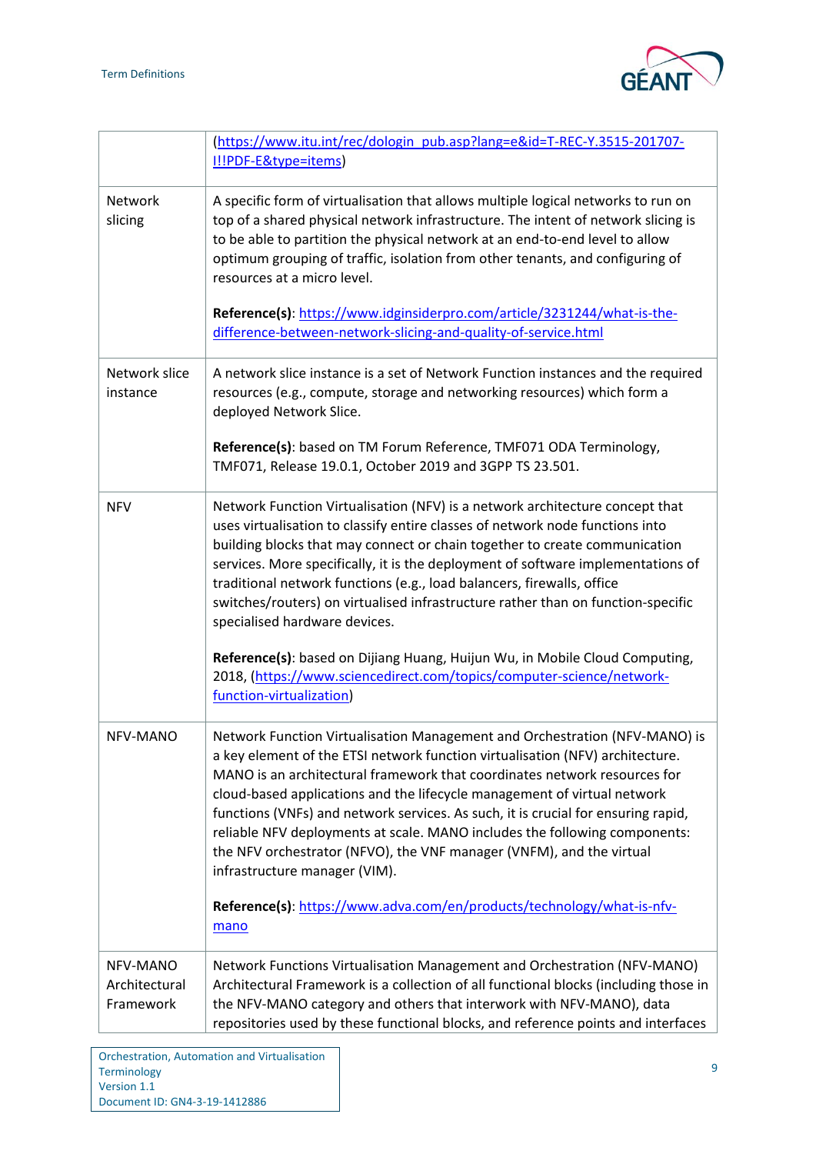

|                                        | (https://www.itu.int/rec/dologin_pub.asp?lang=e&id=T-REC-Y.3515-201707-<br>I!!PDF-E&type=items)                                                                                                                                                                                                                                                                                                                                                                                                                                                                                                  |
|----------------------------------------|--------------------------------------------------------------------------------------------------------------------------------------------------------------------------------------------------------------------------------------------------------------------------------------------------------------------------------------------------------------------------------------------------------------------------------------------------------------------------------------------------------------------------------------------------------------------------------------------------|
| <b>Network</b><br>slicing              | A specific form of virtualisation that allows multiple logical networks to run on<br>top of a shared physical network infrastructure. The intent of network slicing is<br>to be able to partition the physical network at an end-to-end level to allow<br>optimum grouping of traffic, isolation from other tenants, and configuring of<br>resources at a micro level.                                                                                                                                                                                                                           |
|                                        | Reference(s): https://www.idginsiderpro.com/article/3231244/what-is-the-<br>difference-between-network-slicing-and-quality-of-service.html                                                                                                                                                                                                                                                                                                                                                                                                                                                       |
| Network slice<br>instance              | A network slice instance is a set of Network Function instances and the required<br>resources (e.g., compute, storage and networking resources) which form a<br>deployed Network Slice.                                                                                                                                                                                                                                                                                                                                                                                                          |
|                                        | Reference(s): based on TM Forum Reference, TMF071 ODA Terminology,<br>TMF071, Release 19.0.1, October 2019 and 3GPP TS 23.501.                                                                                                                                                                                                                                                                                                                                                                                                                                                                   |
| <b>NFV</b>                             | Network Function Virtualisation (NFV) is a network architecture concept that<br>uses virtualisation to classify entire classes of network node functions into<br>building blocks that may connect or chain together to create communication<br>services. More specifically, it is the deployment of software implementations of<br>traditional network functions (e.g., load balancers, firewalls, office<br>switches/routers) on virtualised infrastructure rather than on function-specific<br>specialised hardware devices.                                                                   |
|                                        | Reference(s): based on Dijiang Huang, Huijun Wu, in Mobile Cloud Computing,<br>2018, (https://www.sciencedirect.com/topics/computer-science/network-<br>function-virtualization)                                                                                                                                                                                                                                                                                                                                                                                                                 |
| NFV-MANO                               | Network Function Virtualisation Management and Orchestration (NFV-MANO) is<br>a key element of the ETSI network function virtualisation (NFV) architecture.<br>MANO is an architectural framework that coordinates network resources for<br>cloud-based applications and the lifecycle management of virtual network<br>functions (VNFs) and network services. As such, it is crucial for ensuring rapid,<br>reliable NFV deployments at scale. MANO includes the following components:<br>the NFV orchestrator (NFVO), the VNF manager (VNFM), and the virtual<br>infrastructure manager (VIM). |
|                                        | Reference(s): https://www.adva.com/en/products/technology/what-is-nfv-<br>mano                                                                                                                                                                                                                                                                                                                                                                                                                                                                                                                   |
| NFV-MANO<br>Architectural<br>Framework | Network Functions Virtualisation Management and Orchestration (NFV-MANO)<br>Architectural Framework is a collection of all functional blocks (including those in<br>the NFV-MANO category and others that interwork with NFV-MANO), data<br>repositories used by these functional blocks, and reference points and interfaces                                                                                                                                                                                                                                                                    |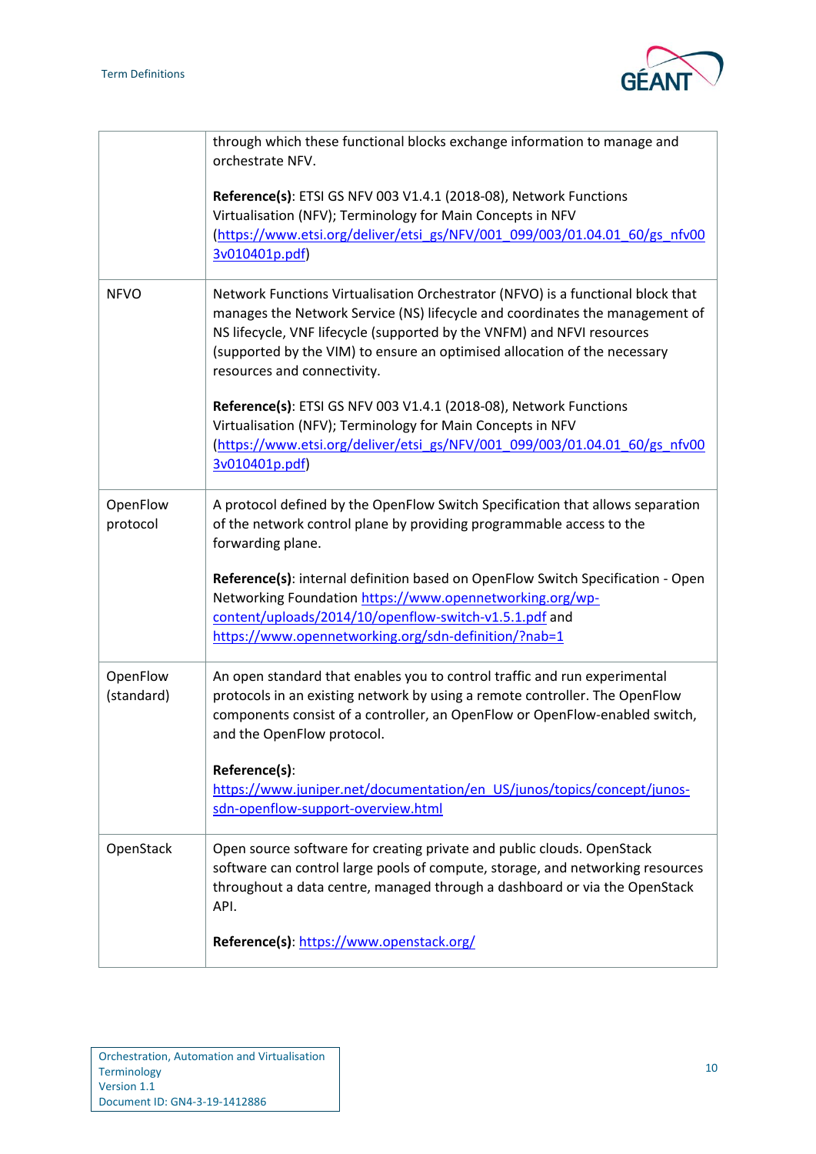

|                        | through which these functional blocks exchange information to manage and<br>orchestrate NFV.                                                                                                                                                                                                                                                          |
|------------------------|-------------------------------------------------------------------------------------------------------------------------------------------------------------------------------------------------------------------------------------------------------------------------------------------------------------------------------------------------------|
|                        | Reference(s): ETSI GS NFV 003 V1.4.1 (2018-08), Network Functions<br>Virtualisation (NFV); Terminology for Main Concepts in NFV                                                                                                                                                                                                                       |
|                        | (https://www.etsi.org/deliver/etsi_gs/NFV/001_099/003/01.04.01_60/gs_nfv00<br>3v010401p.pdf)                                                                                                                                                                                                                                                          |
| <b>NFVO</b>            | Network Functions Virtualisation Orchestrator (NFVO) is a functional block that<br>manages the Network Service (NS) lifecycle and coordinates the management of<br>NS lifecycle, VNF lifecycle (supported by the VNFM) and NFVI resources<br>(supported by the VIM) to ensure an optimised allocation of the necessary<br>resources and connectivity. |
|                        | Reference(s): ETSI GS NFV 003 V1.4.1 (2018-08), Network Functions<br>Virtualisation (NFV); Terminology for Main Concepts in NFV<br>(https://www.etsi.org/deliver/etsi_gs/NFV/001_099/003/01.04.01_60/gs_nfv00<br>3v010401p.pdf)                                                                                                                       |
| OpenFlow<br>protocol   | A protocol defined by the OpenFlow Switch Specification that allows separation<br>of the network control plane by providing programmable access to the<br>forwarding plane.                                                                                                                                                                           |
|                        | Reference(s): internal definition based on OpenFlow Switch Specification - Open                                                                                                                                                                                                                                                                       |
|                        | Networking Foundation https://www.opennetworking.org/wp-<br>content/uploads/2014/10/openflow-switch-v1.5.1.pdf and                                                                                                                                                                                                                                    |
|                        | https://www.opennetworking.org/sdn-definition/?nab=1                                                                                                                                                                                                                                                                                                  |
| OpenFlow<br>(standard) | An open standard that enables you to control traffic and run experimental<br>protocols in an existing network by using a remote controller. The OpenFlow<br>components consist of a controller, an OpenFlow or OpenFlow-enabled switch,<br>and the OpenFlow protocol.                                                                                 |
|                        | Reference(s):<br>https://www.juniper.net/documentation/en_US/junos/topics/concept/junos-                                                                                                                                                                                                                                                              |
|                        | sdn-openflow-support-overview.html                                                                                                                                                                                                                                                                                                                    |
| OpenStack              | Open source software for creating private and public clouds. OpenStack<br>software can control large pools of compute, storage, and networking resources<br>throughout a data centre, managed through a dashboard or via the OpenStack<br>API.                                                                                                        |
|                        | Reference(s): https://www.openstack.org/                                                                                                                                                                                                                                                                                                              |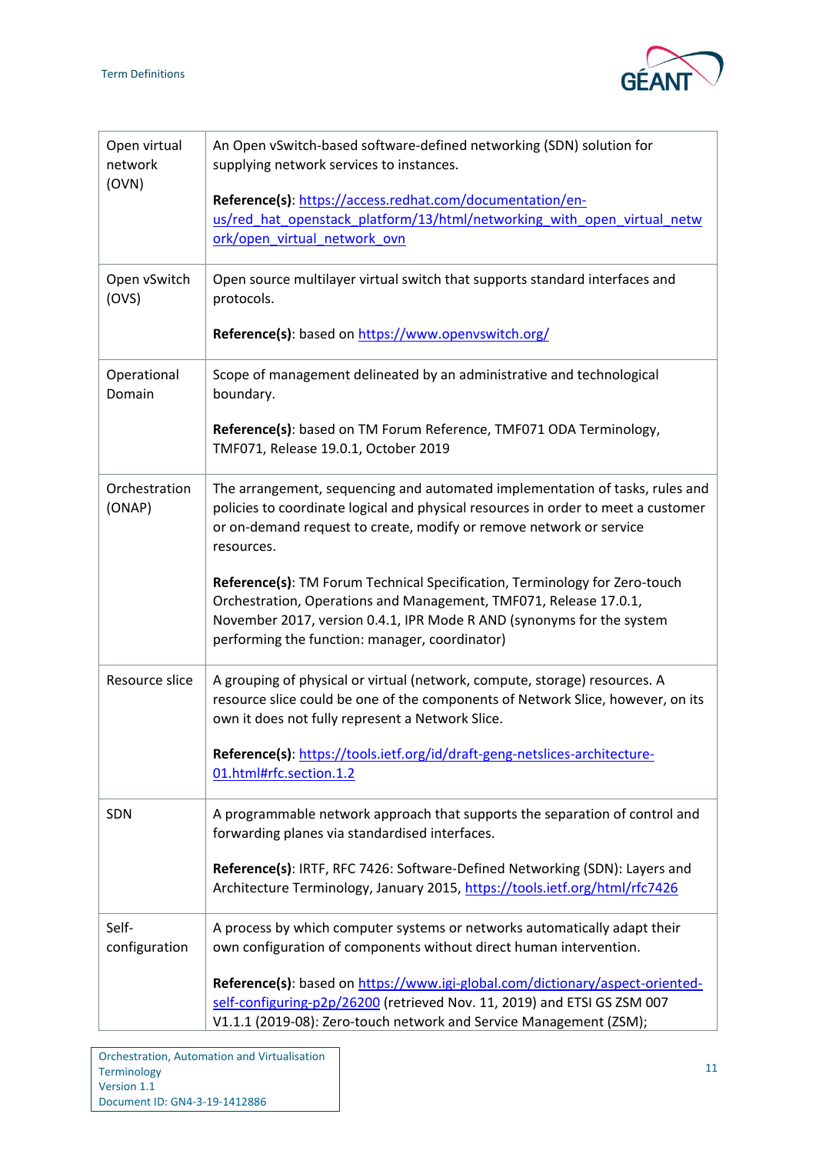

| Open virtual<br>network<br>(OVN) | An Open vSwitch-based software-defined networking (SDN) solution for<br>supplying network services to instances.                                                                                                                                                           |
|----------------------------------|----------------------------------------------------------------------------------------------------------------------------------------------------------------------------------------------------------------------------------------------------------------------------|
|                                  | Reference(s): https://access.redhat.com/documentation/en-<br>us/red hat openstack platform/13/html/networking with open virtual netw<br>ork/open_virtual_network_ovn                                                                                                       |
| Open vSwitch<br>(OVS)            | Open source multilayer virtual switch that supports standard interfaces and<br>protocols.                                                                                                                                                                                  |
|                                  | Reference(s): based on https://www.openvswitch.org/                                                                                                                                                                                                                        |
| Operational<br>Domain            | Scope of management delineated by an administrative and technological<br>boundary.                                                                                                                                                                                         |
|                                  | Reference(s): based on TM Forum Reference, TMF071 ODA Terminology,<br>TMF071, Release 19.0.1, October 2019                                                                                                                                                                 |
| Orchestration<br>(ONAP)          | The arrangement, sequencing and automated implementation of tasks, rules and<br>policies to coordinate logical and physical resources in order to meet a customer<br>or on-demand request to create, modify or remove network or service<br>resources.                     |
|                                  | Reference(s): TM Forum Technical Specification, Terminology for Zero-touch<br>Orchestration, Operations and Management, TMF071, Release 17.0.1,<br>November 2017, version 0.4.1, IPR Mode R AND (synonyms for the system<br>performing the function: manager, coordinator) |
| Resource slice                   | A grouping of physical or virtual (network, compute, storage) resources. A<br>resource slice could be one of the components of Network Slice, however, on its<br>own it does not fully represent a Network Slice.                                                          |
|                                  | Reference(s): https://tools.ietf.org/id/draft-geng-netslices-architecture-<br>01.html#rfc.section.1.2                                                                                                                                                                      |
| SDN                              | A programmable network approach that supports the separation of control and<br>forwarding planes via standardised interfaces.                                                                                                                                              |
|                                  | Reference(s): IRTF, RFC 7426: Software-Defined Networking (SDN): Layers and<br>Architecture Terminology, January 2015, https://tools.ietf.org/html/rfc7426                                                                                                                 |
| Self-<br>configuration           | A process by which computer systems or networks automatically adapt their<br>own configuration of components without direct human intervention.                                                                                                                            |
|                                  | Reference(s): based on https://www.igi-global.com/dictionary/aspect-oriented-<br>self-configuring-p2p/26200 (retrieved Nov. 11, 2019) and ETSI GS ZSM 007<br>V1.1.1 (2019-08): Zero-touch network and Service Management (ZSM);                                            |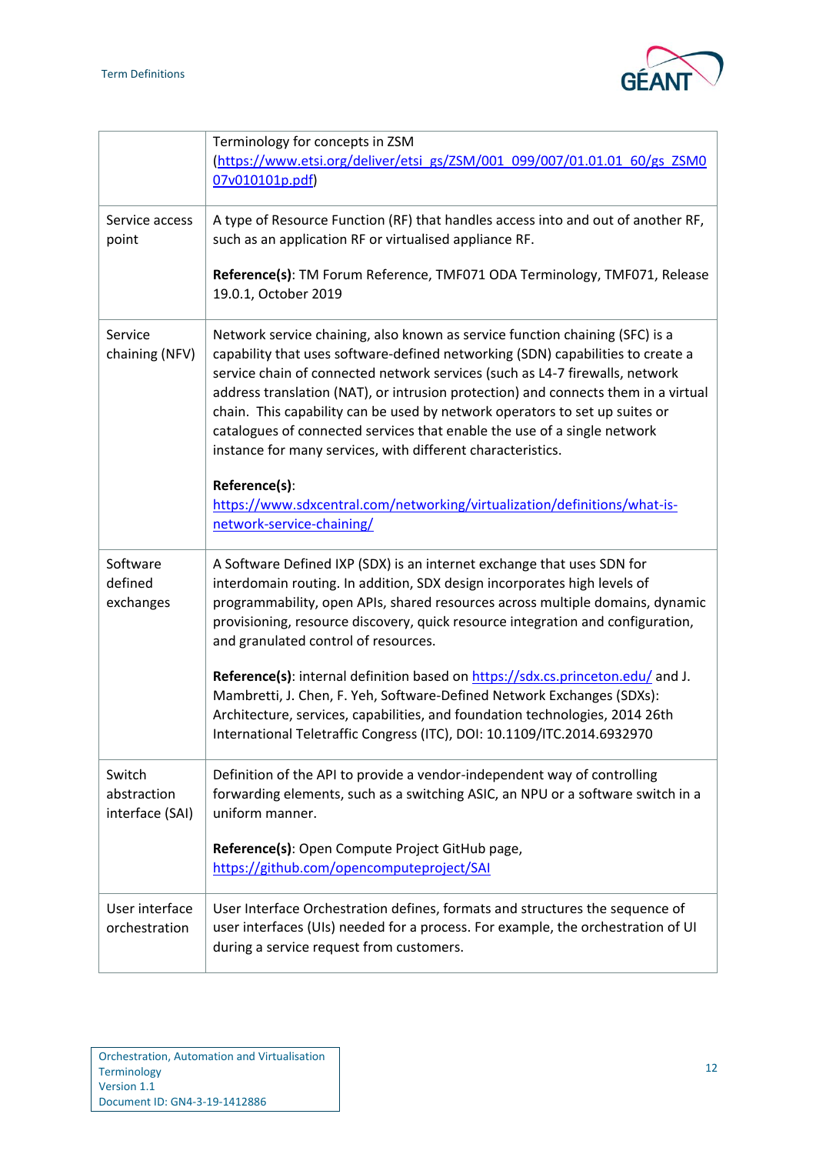

|                                          | Terminology for concepts in ZSM<br>(https://www.etsi.org/deliver/etsi_gs/ZSM/001_099/007/01.01.01_60/gs_ZSM0<br>07v010101p.pdf)                                                                                                                                                                                                                                                                                                                                                                                                                                 |
|------------------------------------------|-----------------------------------------------------------------------------------------------------------------------------------------------------------------------------------------------------------------------------------------------------------------------------------------------------------------------------------------------------------------------------------------------------------------------------------------------------------------------------------------------------------------------------------------------------------------|
| Service access<br>point                  | A type of Resource Function (RF) that handles access into and out of another RF,<br>such as an application RF or virtualised appliance RF.                                                                                                                                                                                                                                                                                                                                                                                                                      |
|                                          | Reference(s): TM Forum Reference, TMF071 ODA Terminology, TMF071, Release<br>19.0.1, October 2019                                                                                                                                                                                                                                                                                                                                                                                                                                                               |
| Service<br>chaining (NFV)                | Network service chaining, also known as service function chaining (SFC) is a<br>capability that uses software-defined networking (SDN) capabilities to create a<br>service chain of connected network services (such as L4-7 firewalls, network<br>address translation (NAT), or intrusion protection) and connects them in a virtual<br>chain. This capability can be used by network operators to set up suites or<br>catalogues of connected services that enable the use of a single network<br>instance for many services, with different characteristics. |
|                                          | Reference(s):<br>https://www.sdxcentral.com/networking/virtualization/definitions/what-is-<br>network-service-chaining/                                                                                                                                                                                                                                                                                                                                                                                                                                         |
| Software<br>defined<br>exchanges         | A Software Defined IXP (SDX) is an internet exchange that uses SDN for<br>interdomain routing. In addition, SDX design incorporates high levels of<br>programmability, open APIs, shared resources across multiple domains, dynamic<br>provisioning, resource discovery, quick resource integration and configuration,<br>and granulated control of resources.                                                                                                                                                                                                  |
|                                          | Reference(s): internal definition based on https://sdx.cs.princeton.edu/ and J.<br>Mambretti, J. Chen, F. Yeh, Software-Defined Network Exchanges (SDXs):<br>Architecture, services, capabilities, and foundation technologies, 2014 26th<br>International Teletraffic Congress (ITC), DOI: 10.1109/ITC.2014.6932970                                                                                                                                                                                                                                            |
| Switch<br>abstraction<br>interface (SAI) | Definition of the API to provide a vendor-independent way of controlling<br>forwarding elements, such as a switching ASIC, an NPU or a software switch in a<br>uniform manner.                                                                                                                                                                                                                                                                                                                                                                                  |
|                                          | Reference(s): Open Compute Project GitHub page,<br>https://github.com/opencomputeproject/SAI                                                                                                                                                                                                                                                                                                                                                                                                                                                                    |
| User interface<br>orchestration          | User Interface Orchestration defines, formats and structures the sequence of<br>user interfaces (UIs) needed for a process. For example, the orchestration of UI<br>during a service request from customers.                                                                                                                                                                                                                                                                                                                                                    |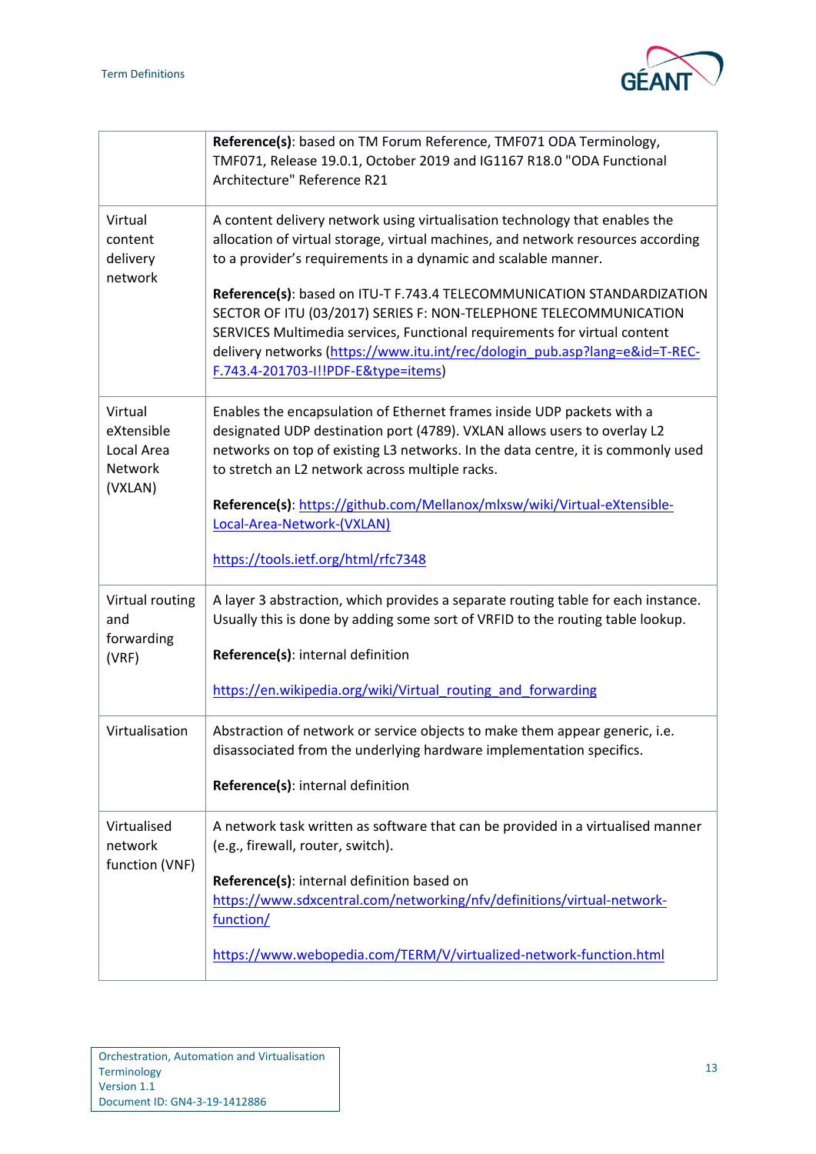

|                                                       | Reference(s): based on TM Forum Reference, TMF071 ODA Terminology,<br>TMF071, Release 19.0.1, October 2019 and IG1167 R18.0 "ODA Functional<br>Architecture" Reference R21                                                                                                                                                                     |
|-------------------------------------------------------|------------------------------------------------------------------------------------------------------------------------------------------------------------------------------------------------------------------------------------------------------------------------------------------------------------------------------------------------|
| Virtual<br>content<br>delivery<br>network             | A content delivery network using virtualisation technology that enables the<br>allocation of virtual storage, virtual machines, and network resources according<br>to a provider's requirements in a dynamic and scalable manner.                                                                                                              |
|                                                       | Reference(s): based on ITU-T F.743.4 TELECOMMUNICATION STANDARDIZATION<br>SECTOR OF ITU (03/2017) SERIES F: NON-TELEPHONE TELECOMMUNICATION<br>SERVICES Multimedia services, Functional requirements for virtual content<br>delivery networks (https://www.itu.int/rec/dologin_pub.asp?lang=e&id=T-REC-<br>F.743.4-201703-I!!PDF-E&type=items) |
| Virtual<br>eXtensible<br>Local Area<br><b>Network</b> | Enables the encapsulation of Ethernet frames inside UDP packets with a<br>designated UDP destination port (4789). VXLAN allows users to overlay L2<br>networks on top of existing L3 networks. In the data centre, it is commonly used<br>to stretch an L2 network across multiple racks.                                                      |
| (VXLAN)                                               | Reference(s): https://github.com/Mellanox/mlxsw/wiki/Virtual-eXtensible-<br>Local-Area-Network-(VXLAN)                                                                                                                                                                                                                                         |
|                                                       | https://tools.ietf.org/html/rfc7348                                                                                                                                                                                                                                                                                                            |
| Virtual routing<br>and                                | A layer 3 abstraction, which provides a separate routing table for each instance.<br>Usually this is done by adding some sort of VRFID to the routing table lookup.                                                                                                                                                                            |
| forwarding<br>(VRF)                                   | Reference(s): internal definition                                                                                                                                                                                                                                                                                                              |
|                                                       | https://en.wikipedia.org/wiki/Virtual_routing_and_forwarding                                                                                                                                                                                                                                                                                   |
| Virtualisation                                        | Abstraction of network or service objects to make them appear generic, i.e.<br>disassociated from the underlying hardware implementation specifics.                                                                                                                                                                                            |
|                                                       | Reference(s): internal definition                                                                                                                                                                                                                                                                                                              |
| Virtualised<br>network<br>function (VNF)              | A network task written as software that can be provided in a virtualised manner<br>(e.g., firewall, router, switch).                                                                                                                                                                                                                           |
|                                                       | Reference(s): internal definition based on<br>https://www.sdxcentral.com/networking/nfv/definitions/virtual-network-<br>function/                                                                                                                                                                                                              |
|                                                       | https://www.webopedia.com/TERM/V/virtualized-network-function.html                                                                                                                                                                                                                                                                             |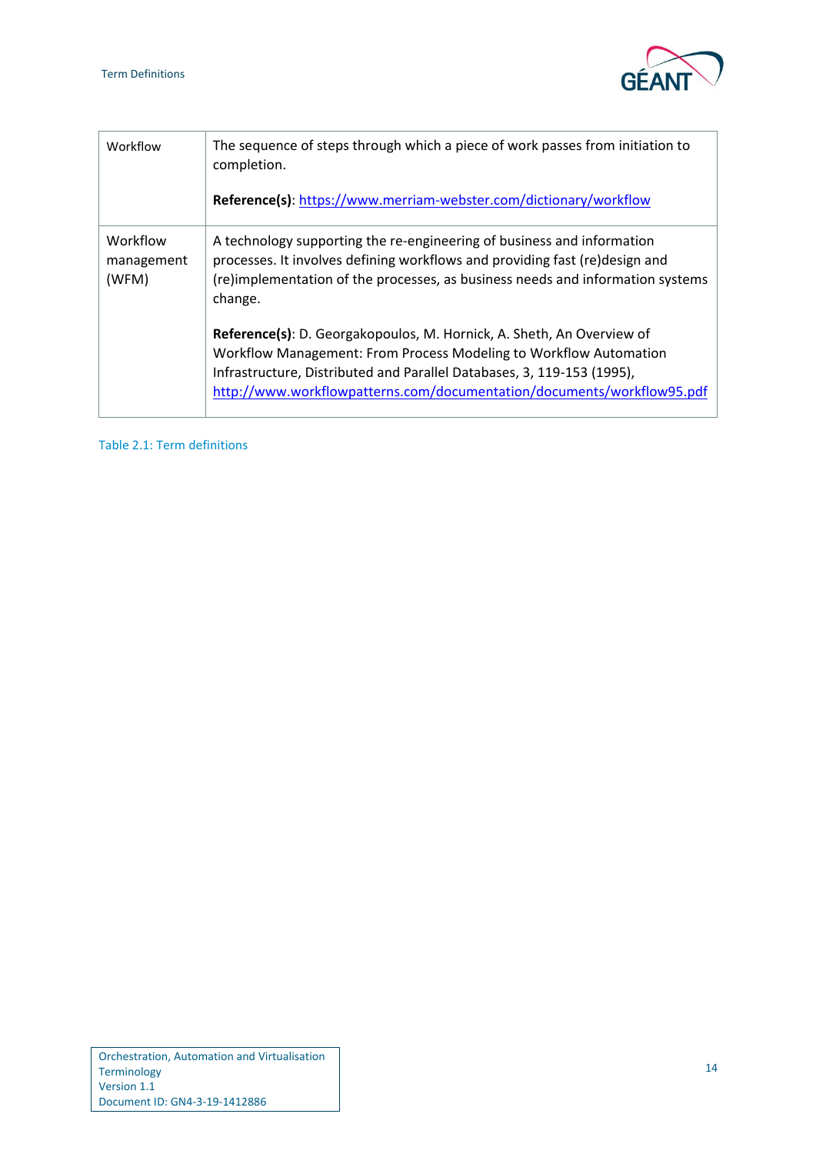

| Workflow                        | The sequence of steps through which a piece of work passes from initiation to<br>completion.<br>Reference(s): https://www.merriam-webster.com/dictionary/workflow                                                                                                                              |
|---------------------------------|------------------------------------------------------------------------------------------------------------------------------------------------------------------------------------------------------------------------------------------------------------------------------------------------|
| Workflow<br>management<br>(WFM) | A technology supporting the re-engineering of business and information<br>processes. It involves defining workflows and providing fast (re)design and<br>(re)implementation of the processes, as business needs and information systems<br>change.                                             |
|                                 | Reference(s): D. Georgakopoulos, M. Hornick, A. Sheth, An Overview of<br>Workflow Management: From Process Modeling to Workflow Automation<br>Infrastructure, Distributed and Parallel Databases, 3, 119-153 (1995),<br>http://www.workflowpatterns.com/documentation/documents/workflow95.pdf |

<span id="page-15-1"></span><span id="page-15-0"></span>Table 2.1: Term definitions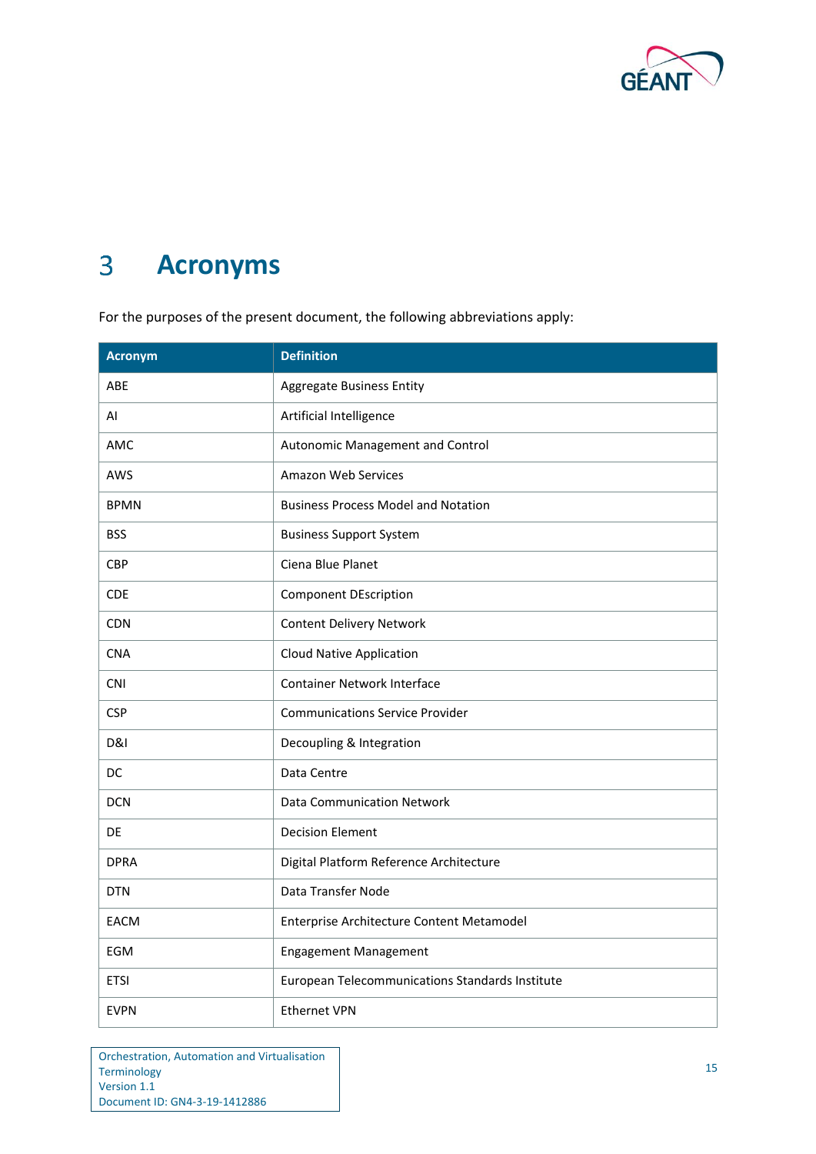

### $\overline{3}$ **Acronyms**

For the purposes of the present document, the following abbreviations apply:

| <b>Acronym</b> | <b>Definition</b>                               |
|----------------|-------------------------------------------------|
| ABE            | <b>Aggregate Business Entity</b>                |
| AI             | Artificial Intelligence                         |
| AMC            | Autonomic Management and Control                |
| AWS            | Amazon Web Services                             |
| <b>BPMN</b>    | <b>Business Process Model and Notation</b>      |
| <b>BSS</b>     | <b>Business Support System</b>                  |
| <b>CBP</b>     | Ciena Blue Planet                               |
| <b>CDE</b>     | <b>Component DEscription</b>                    |
| <b>CDN</b>     | <b>Content Delivery Network</b>                 |
| <b>CNA</b>     | <b>Cloud Native Application</b>                 |
| <b>CNI</b>     | <b>Container Network Interface</b>              |
| <b>CSP</b>     | <b>Communications Service Provider</b>          |
| <b>D&amp;I</b> | Decoupling & Integration                        |
| DC             | Data Centre                                     |
| <b>DCN</b>     | <b>Data Communication Network</b>               |
| DE.            | <b>Decision Element</b>                         |
| <b>DPRA</b>    | Digital Platform Reference Architecture         |
| <b>DTN</b>     | Data Transfer Node                              |
| <b>EACM</b>    | Enterprise Architecture Content Metamodel       |
| <b>EGM</b>     | <b>Engagement Management</b>                    |
| <b>ETSI</b>    | European Telecommunications Standards Institute |
| <b>EVPN</b>    | <b>Ethernet VPN</b>                             |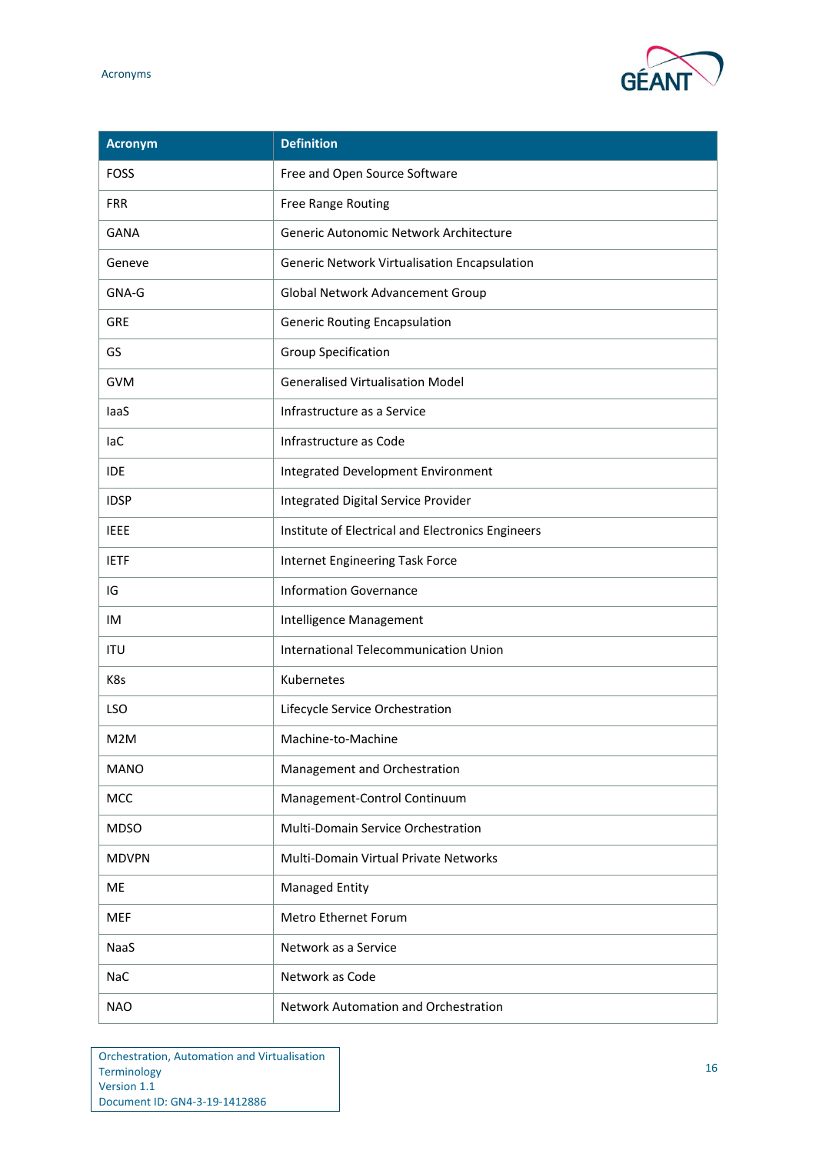

| Acronym          | <b>Definition</b>                                 |
|------------------|---------------------------------------------------|
| <b>FOSS</b>      | Free and Open Source Software                     |
| <b>FRR</b>       | Free Range Routing                                |
| <b>GANA</b>      | Generic Autonomic Network Architecture            |
| Geneve           | Generic Network Virtualisation Encapsulation      |
| GNA-G            | Global Network Advancement Group                  |
| <b>GRE</b>       | <b>Generic Routing Encapsulation</b>              |
| GS               | <b>Group Specification</b>                        |
| <b>GVM</b>       | <b>Generalised Virtualisation Model</b>           |
| laaS             | Infrastructure as a Service                       |
| laC              | Infrastructure as Code                            |
| <b>IDE</b>       | Integrated Development Environment                |
| <b>IDSP</b>      | Integrated Digital Service Provider               |
| <b>IEEE</b>      | Institute of Electrical and Electronics Engineers |
| <b>IETF</b>      | Internet Engineering Task Force                   |
| IG               | <b>Information Governance</b>                     |
| <b>IM</b>        | Intelligence Management                           |
| <b>ITU</b>       | International Telecommunication Union             |
| K8s              | Kubernetes                                        |
| LSO              | Lifecycle Service Orchestration                   |
| M <sub>2</sub> M | Machine-to-Machine                                |
| <b>MANO</b>      | Management and Orchestration                      |
| MCC              | Management-Control Continuum                      |
| <b>MDSO</b>      | Multi-Domain Service Orchestration                |
| <b>MDVPN</b>     | Multi-Domain Virtual Private Networks             |
| ME               | <b>Managed Entity</b>                             |
| <b>MEF</b>       | Metro Ethernet Forum                              |
| NaaS             | Network as a Service                              |
| <b>NaC</b>       | Network as Code                                   |
| <b>NAO</b>       | Network Automation and Orchestration              |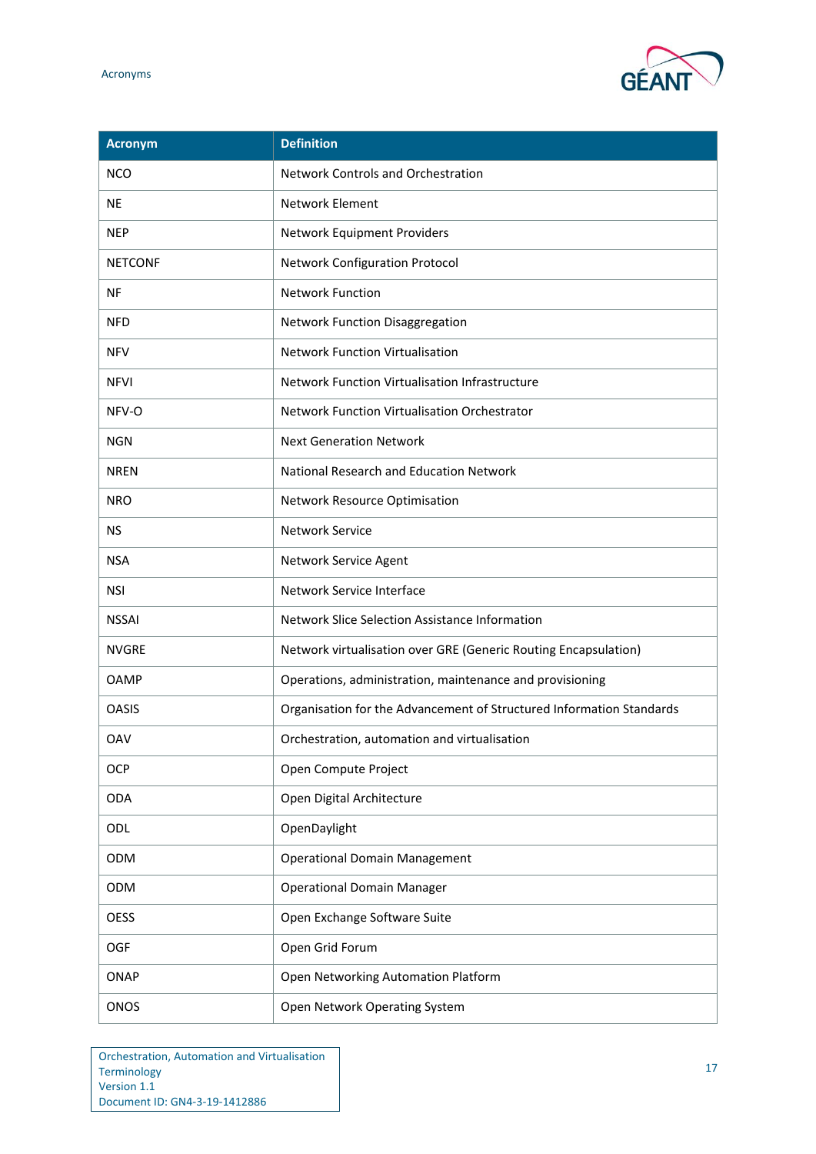

| Acronym        | <b>Definition</b>                                                    |
|----------------|----------------------------------------------------------------------|
| <b>NCO</b>     | <b>Network Controls and Orchestration</b>                            |
| <b>NE</b>      | Network Element                                                      |
| <b>NEP</b>     | Network Equipment Providers                                          |
| <b>NETCONF</b> | <b>Network Configuration Protocol</b>                                |
| <b>NF</b>      | <b>Network Function</b>                                              |
| <b>NFD</b>     | Network Function Disaggregation                                      |
| <b>NFV</b>     | <b>Network Function Virtualisation</b>                               |
| <b>NFVI</b>    | Network Function Virtualisation Infrastructure                       |
| NFV-O          | Network Function Virtualisation Orchestrator                         |
| <b>NGN</b>     | <b>Next Generation Network</b>                                       |
| <b>NREN</b>    | National Research and Education Network                              |
| <b>NRO</b>     | Network Resource Optimisation                                        |
| <b>NS</b>      | <b>Network Service</b>                                               |
| <b>NSA</b>     | Network Service Agent                                                |
| <b>NSI</b>     | Network Service Interface                                            |
| <b>NSSAI</b>   | Network Slice Selection Assistance Information                       |
| <b>NVGRE</b>   | Network virtualisation over GRE (Generic Routing Encapsulation)      |
| <b>OAMP</b>    | Operations, administration, maintenance and provisioning             |
| <b>OASIS</b>   | Organisation for the Advancement of Structured Information Standards |
| <b>OAV</b>     | Orchestration, automation and virtualisation                         |
| OCP            | Open Compute Project                                                 |
| <b>ODA</b>     | Open Digital Architecture                                            |
| ODL            | OpenDaylight                                                         |
| <b>ODM</b>     | <b>Operational Domain Management</b>                                 |
| ODM            | <b>Operational Domain Manager</b>                                    |
| <b>OESS</b>    | Open Exchange Software Suite                                         |
| <b>OGF</b>     | Open Grid Forum                                                      |
| <b>ONAP</b>    | Open Networking Automation Platform                                  |
| <b>ONOS</b>    | Open Network Operating System                                        |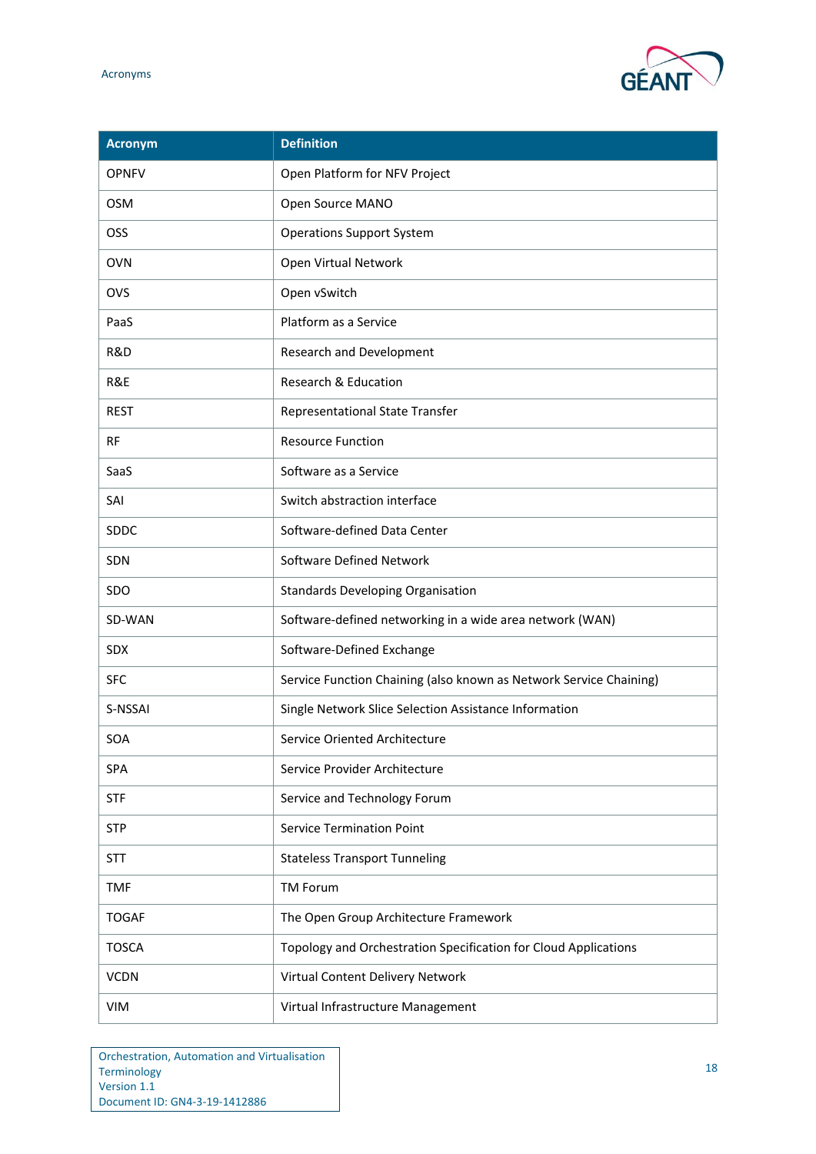

| <b>Acronym</b> | <b>Definition</b>                                                  |
|----------------|--------------------------------------------------------------------|
| <b>OPNFV</b>   | Open Platform for NFV Project                                      |
| <b>OSM</b>     | Open Source MANO                                                   |
| OSS            | <b>Operations Support System</b>                                   |
| <b>OVN</b>     | Open Virtual Network                                               |
| OVS            | Open vSwitch                                                       |
| PaaS           | Platform as a Service                                              |
| R&D            | Research and Development                                           |
| R&E            | Research & Education                                               |
| <b>REST</b>    | <b>Representational State Transfer</b>                             |
| <b>RF</b>      | <b>Resource Function</b>                                           |
| SaaS           | Software as a Service                                              |
| SAI            | Switch abstraction interface                                       |
| <b>SDDC</b>    | Software-defined Data Center                                       |
| SDN            | Software Defined Network                                           |
| SDO            | <b>Standards Developing Organisation</b>                           |
| SD-WAN         | Software-defined networking in a wide area network (WAN)           |
| <b>SDX</b>     | Software-Defined Exchange                                          |
| <b>SFC</b>     | Service Function Chaining (also known as Network Service Chaining) |
| S-NSSAI        | Single Network Slice Selection Assistance Information              |
| SOA            | Service Oriented Architecture                                      |
| SPA            | Service Provider Architecture                                      |
| <b>STF</b>     | Service and Technology Forum                                       |
| <b>STP</b>     | <b>Service Termination Point</b>                                   |
| <b>STT</b>     | <b>Stateless Transport Tunneling</b>                               |
| <b>TMF</b>     | <b>TM Forum</b>                                                    |
| <b>TOGAF</b>   | The Open Group Architecture Framework                              |
| <b>TOSCA</b>   | Topology and Orchestration Specification for Cloud Applications    |
| <b>VCDN</b>    | Virtual Content Delivery Network                                   |
| <b>VIM</b>     | Virtual Infrastructure Management                                  |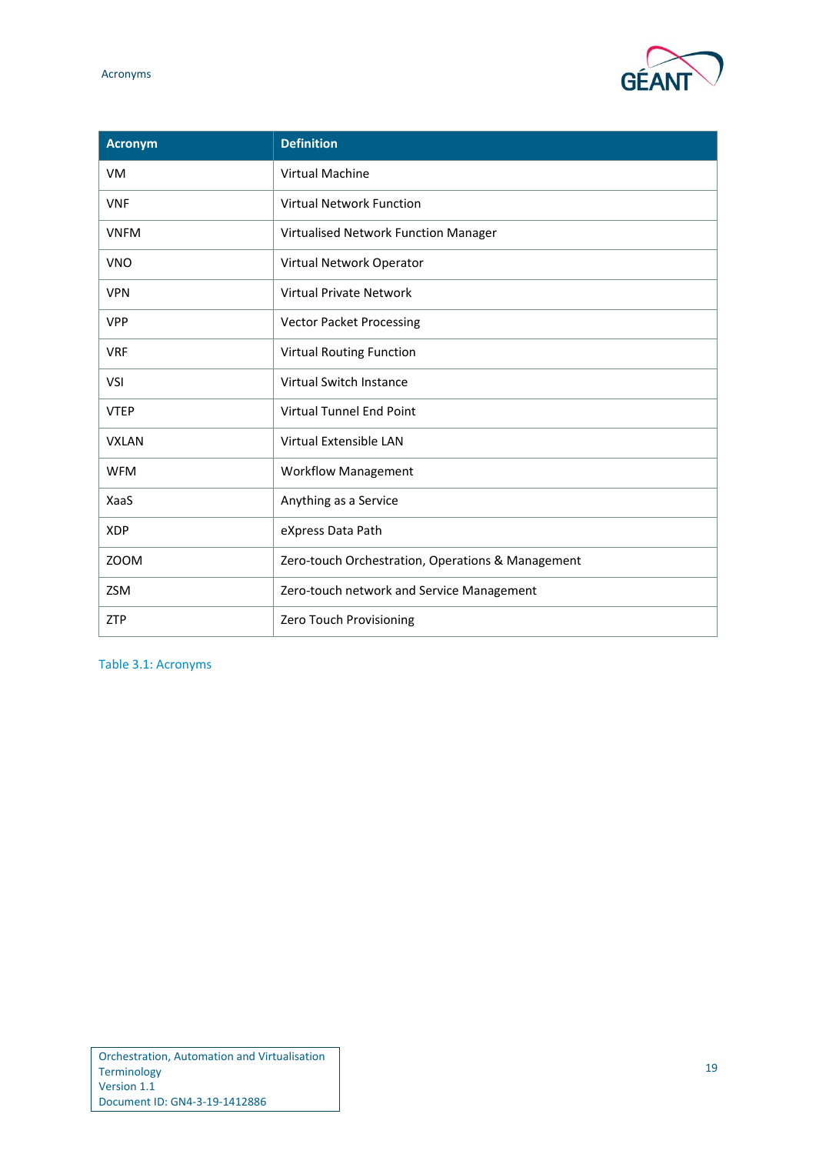

| <b>Acronym</b> | <b>Definition</b>                                 |
|----------------|---------------------------------------------------|
| <b>VM</b>      | <b>Virtual Machine</b>                            |
| <b>VNF</b>     | <b>Virtual Network Function</b>                   |
| <b>VNFM</b>    | Virtualised Network Function Manager              |
| <b>VNO</b>     | Virtual Network Operator                          |
| <b>VPN</b>     | <b>Virtual Private Network</b>                    |
| <b>VPP</b>     | <b>Vector Packet Processing</b>                   |
| <b>VRF</b>     | <b>Virtual Routing Function</b>                   |
| VSI            | Virtual Switch Instance                           |
| <b>VTEP</b>    | <b>Virtual Tunnel End Point</b>                   |
| <b>VXLAN</b>   | Virtual Extensible LAN                            |
| <b>WFM</b>     | <b>Workflow Management</b>                        |
| XaaS           | Anything as a Service                             |
| <b>XDP</b>     | eXpress Data Path                                 |
| ZOOM           | Zero-touch Orchestration, Operations & Management |
| <b>ZSM</b>     | Zero-touch network and Service Management         |
| <b>ZTP</b>     | Zero Touch Provisioning                           |

<span id="page-20-0"></span>Table 3.1: Acronyms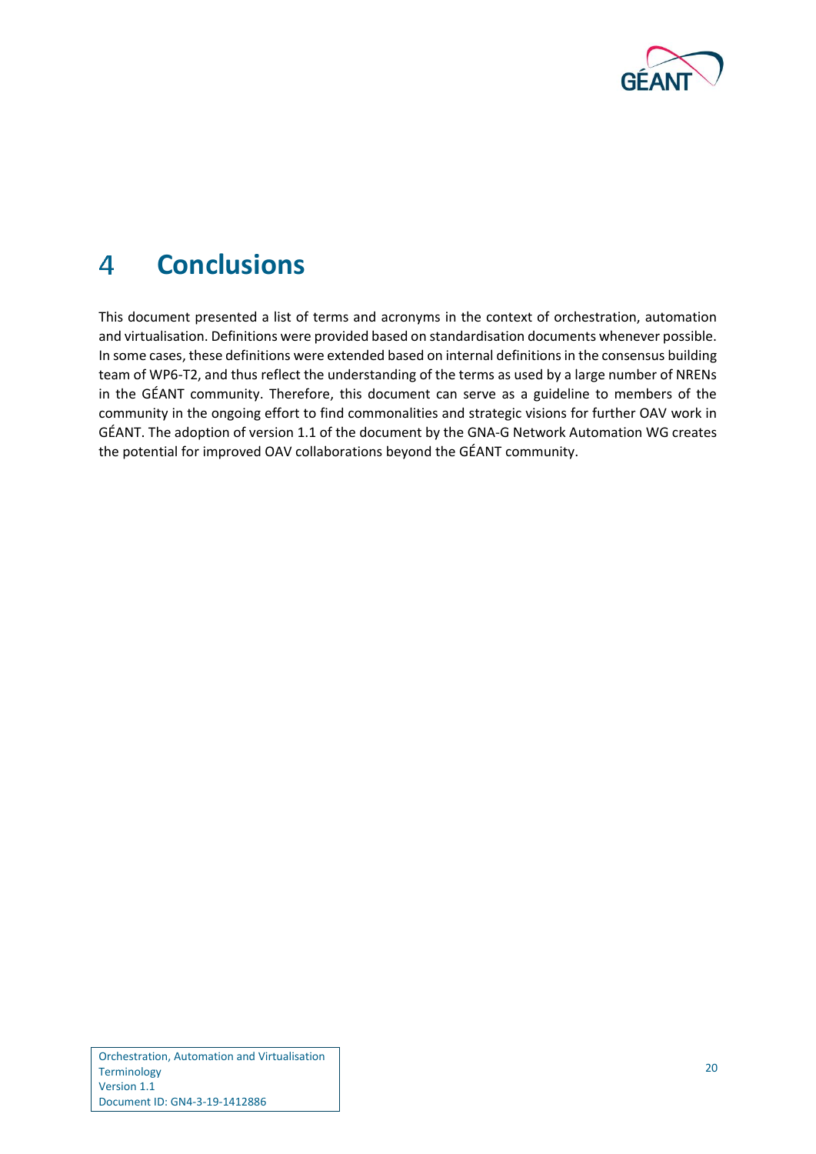

### <span id="page-21-0"></span>**Conclusions**  $\Delta$

This document presented a list of terms and acronyms in the context of orchestration, automation and virtualisation. Definitions were provided based on standardisation documents whenever possible. In some cases, these definitions were extended based on internal definitions in the consensus building team of WP6-T2, and thus reflect the understanding of the terms as used by a large number of NRENs in the GÉANT community. Therefore, this document can serve as a guideline to members of the community in the ongoing effort to find commonalities and strategic visions for further OAV work in GÉANT. The adoption of version 1.1 of the document by the GNA-G Network Automation WG creates the potential for improved OAV collaborations beyond the GÉANT community.